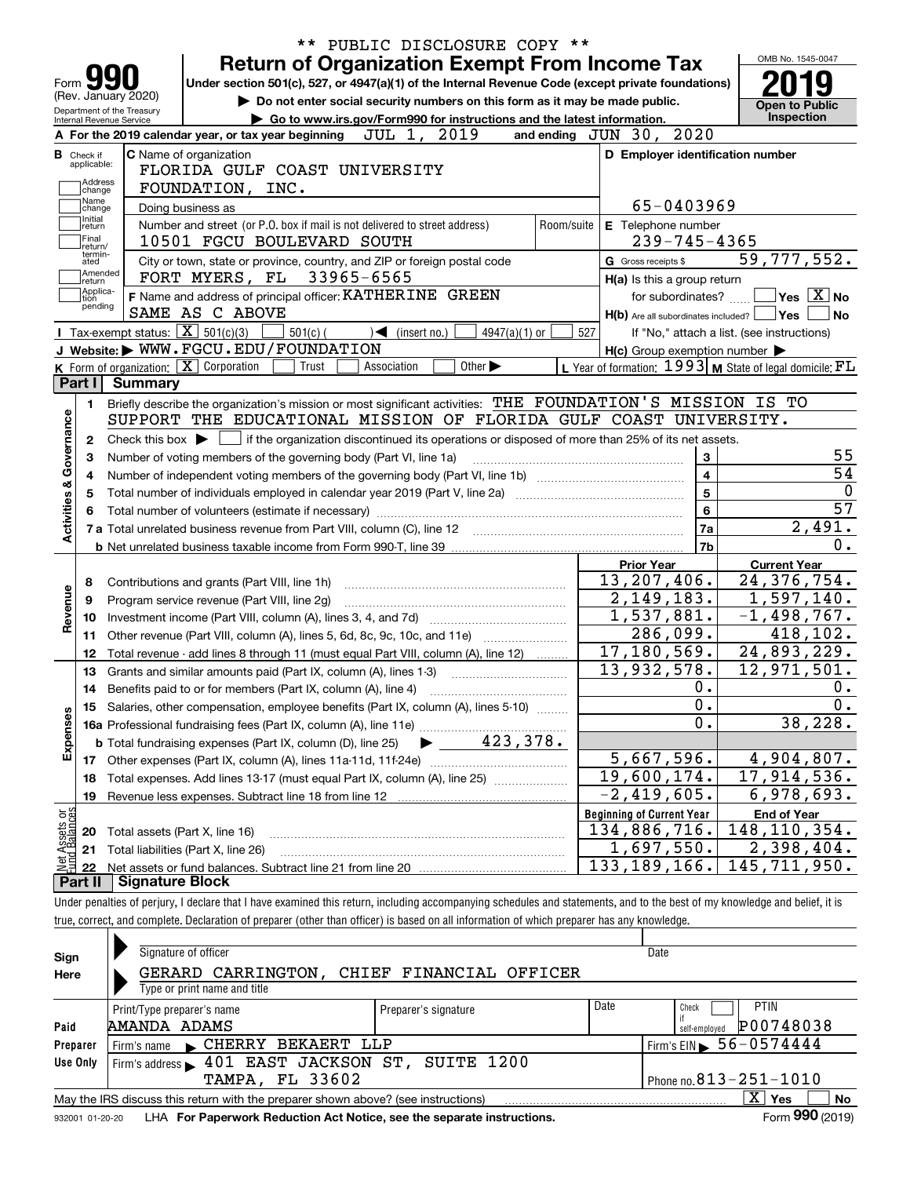|                                                   | PUBLIC DISCLOSURE COPY **<br><b>Return of Organization Exempt From Income Tax</b>                                                       |            |                                                             | OMB No. 1545-0047                          |  |  |  |  |
|---------------------------------------------------|-----------------------------------------------------------------------------------------------------------------------------------------|------------|-------------------------------------------------------------|--------------------------------------------|--|--|--|--|
| Form $\blacksquare$                               | Under section 501(c), 527, or 4947(a)(1) of the Internal Revenue Code (except private foundations)                                      |            |                                                             |                                            |  |  |  |  |
| (Rev. January 2020)<br>Department of the Treasury | Do not enter social security numbers on this form as it may be made public.                                                             |            |                                                             | <b>Open to Public</b>                      |  |  |  |  |
| Internal Revenue Service                          | Go to www.irs.gov/Form990 for instructions and the latest information.<br>JUL 1, 2019                                                   |            | 2020<br>and ending JUN 30,                                  | <b>Inspection</b>                          |  |  |  |  |
|                                                   | A For the 2019 calendar year, or tax year beginning                                                                                     |            |                                                             |                                            |  |  |  |  |
| <b>B</b> Check if<br>applicable:                  | <b>C</b> Name of organization<br>FLORIDA GULF COAST UNIVERSITY                                                                          |            | D Employer identification number                            |                                            |  |  |  |  |
| Address                                           | FOUNDATION, INC.                                                                                                                        |            |                                                             |                                            |  |  |  |  |
| change<br>Name                                    | Doing business as                                                                                                                       |            | 65-0403969                                                  |                                            |  |  |  |  |
| change<br>Initial                                 | Number and street (or P.O. box if mail is not delivered to street address)                                                              | Room/suite | E Telephone number                                          |                                            |  |  |  |  |
| return<br> Final                                  | 10501 FGCU BOULEVARD SOUTH                                                                                                              |            | $239 - 745 - 4365$                                          |                                            |  |  |  |  |
| return/<br>termin-<br>ated                        | City or town, state or province, country, and ZIP or foreign postal code                                                                |            | G Gross receipts \$                                         | 59, 777, 552.                              |  |  |  |  |
| Amended                                           | 33965-6565<br>FORT MYERS, FL                                                                                                            |            | H(a) Is this a group return                                 |                                            |  |  |  |  |
| return<br>Applica-<br>tion                        | F Name and address of principal officer: KATHERINE GREEN                                                                                |            | for subordinates?                                           | $\sqrt{}$ Yes $\sqrt{X}$ No                |  |  |  |  |
| pending                                           | SAME AS C ABOVE                                                                                                                         |            | $H(b)$ Are all subordinates included?                       | ∣Yes<br>No                                 |  |  |  |  |
|                                                   | Tax-exempt status: $\boxed{\mathbf{X}}$ 501(c)(3)<br>$501(c)$ (<br>$\sqrt{\frac{1}{1}}$ (insert no.)<br>$4947(a)(1)$ or                 | 527        |                                                             | If "No," attach a list. (see instructions) |  |  |  |  |
|                                                   | J Website: WWW.FGCU.EDU/FOUNDATION                                                                                                      |            | $H(c)$ Group exemption number $\blacktriangleright$         |                                            |  |  |  |  |
|                                                   | K Form of organization: X Corporation<br>Other $\blacktriangleright$<br>Trust<br>Association                                            |            | L Year of formation: $1993$ M State of legal domicile: $FL$ |                                            |  |  |  |  |
| Part I<br><b>Summary</b>                          |                                                                                                                                         |            |                                                             |                                            |  |  |  |  |
| 1.                                                | Briefly describe the organization's mission or most significant activities: THE FOUNDATION'S MISSION IS TO                              |            |                                                             |                                            |  |  |  |  |
|                                                   | SUPPORT THE EDUCATIONAL MISSION OF FLORIDA GULF COAST UNIVERSITY.                                                                       |            |                                                             |                                            |  |  |  |  |
| 2                                                 | if the organization discontinued its operations or disposed of more than 25% of its net assets.<br>Check this box $\blacktriangleright$ |            |                                                             |                                            |  |  |  |  |
| З                                                 | Number of voting members of the governing body (Part VI, line 1a)                                                                       |            | 3                                                           | 55                                         |  |  |  |  |
| 4                                                 |                                                                                                                                         |            | $\overline{\mathbf{4}}$                                     | 54                                         |  |  |  |  |
| 5                                                 |                                                                                                                                         | 5          |                                                             |                                            |  |  |  |  |
|                                                   |                                                                                                                                         |            | 6                                                           | 57                                         |  |  |  |  |
| Activities & Governance                           |                                                                                                                                         |            | 7a                                                          | 2,491.                                     |  |  |  |  |
|                                                   |                                                                                                                                         |            | 7b                                                          | 0.                                         |  |  |  |  |
|                                                   |                                                                                                                                         |            | <b>Prior Year</b>                                           | <b>Current Year</b>                        |  |  |  |  |
| 8                                                 | Contributions and grants (Part VIII, line 1h)                                                                                           |            | 13,207,406.                                                 | 24,376,754.                                |  |  |  |  |
| Revenue<br>9                                      | Program service revenue (Part VIII, line 2g)                                                                                            |            | 2,149,183.                                                  | 1,597,140.                                 |  |  |  |  |
| 10                                                |                                                                                                                                         |            | 1,537,881.                                                  | $\overline{-1}$ , 498, 767.                |  |  |  |  |
| 11                                                | Other revenue (Part VIII, column (A), lines 5, 6d, 8c, 9c, 10c, and 11e)                                                                |            | 286,099.                                                    | 418,102.                                   |  |  |  |  |
| 12                                                | Total revenue - add lines 8 through 11 (must equal Part VIII, column (A), line 12)                                                      |            | 17,180,569.                                                 | 24,893,229.                                |  |  |  |  |
| 13                                                | Grants and similar amounts paid (Part IX, column (A), lines 1-3)                                                                        |            | 13,932,578.                                                 | 12,971,501.                                |  |  |  |  |
| 14                                                |                                                                                                                                         |            | 0.                                                          | 0.                                         |  |  |  |  |
|                                                   | 15 Salaries, other compensation, employee benefits (Part IX, column (A), lines 5-10)                                                    |            | $\overline{0}$ .                                            | $\overline{0}$ .                           |  |  |  |  |
| Expenses                                          |                                                                                                                                         |            | 0.                                                          | 38,228.                                    |  |  |  |  |
|                                                   | 423,378.<br><b>b</b> Total fundraising expenses (Part IX, column (D), line 25)                                                          |            |                                                             |                                            |  |  |  |  |
| 17                                                | Other expenses (Part IX, column (A), lines 11a-11d, 11f-24e)                                                                            |            | 5,667,596.                                                  | 4,904,807.                                 |  |  |  |  |
| 18                                                | Total expenses. Add lines 13-17 (must equal Part IX, column (A), line 25)                                                               |            | 19,600,174.                                                 | $\overline{17,914,536}$ .                  |  |  |  |  |
| 19                                                | Revenue less expenses. Subtract line 18 from line 12                                                                                    |            | $-2,419,605.$                                               | 6,978,693.                                 |  |  |  |  |
|                                                   |                                                                                                                                         |            | <b>Beginning of Current Year</b>                            | <b>End of Year</b>                         |  |  |  |  |
| 20                                                | Total assets (Part X, line 16)                                                                                                          |            | 134,886,716.                                                | 148, 110, 354.                             |  |  |  |  |
| t Assets or<br>d Balances<br>21                   | Total liabilities (Part X, line 26)                                                                                                     |            | 1,697,550.                                                  | 2,398,404.                                 |  |  |  |  |
| 혏<br>22                                           |                                                                                                                                         |            | 133, 189, 166.                                              | 145,711,950.                               |  |  |  |  |
| Part II                                           | <b>Signature Block</b>                                                                                                                  |            |                                                             |                                            |  |  |  |  |

true, correct, and complete. Declaration of preparer (other than officer) is based on all information of which preparer has any knowledge.

| Sign     | Signature of officer                                                                                                                                                                                                              |                      |                            | Date                                   |  |  |  |  |  |
|----------|-----------------------------------------------------------------------------------------------------------------------------------------------------------------------------------------------------------------------------------|----------------------|----------------------------|----------------------------------------|--|--|--|--|--|
| Here     | GERARD CARRINGTON, CHIEF FINANCIAL OFFICER                                                                                                                                                                                        |                      |                            |                                        |  |  |  |  |  |
|          | Type or print name and title                                                                                                                                                                                                      |                      |                            |                                        |  |  |  |  |  |
|          | Print/Type preparer's name                                                                                                                                                                                                        | Preparer's signature | Date                       | <b>PTIN</b><br>Check                   |  |  |  |  |  |
| Paid     | AMANDA ADAMS                                                                                                                                                                                                                      |                      | P00748038<br>self-employed |                                        |  |  |  |  |  |
| Preparer | CHERRY BEKAERT LLP<br>Firm's name                                                                                                                                                                                                 |                      |                            | Firm's EIN $\triangleright$ 56-0574444 |  |  |  |  |  |
| Use Only | Firm's address 101 EAST JACKSON ST, SUITE 1200                                                                                                                                                                                    |                      |                            |                                        |  |  |  |  |  |
|          | Phone no. $813 - 251 - 1010$<br><b>TAMPA, FL 33602</b>                                                                                                                                                                            |                      |                            |                                        |  |  |  |  |  |
|          | May the IRS discuss this return with the preparer shown above? (see instructions)                                                                                                                                                 |                      |                            | x.<br>No<br>Yes                        |  |  |  |  |  |
|          | $\mathbf{r}$ . The contract of the contract of the contract of the contract of the contract of the contract of the contract of the contract of the contract of the contract of the contract of the contract of the contract of th |                      |                            | $\sim$ 000 $\sim$                      |  |  |  |  |  |

932001 01-20-20 **For Paperwork Reduction Act Notice, see the separate instructions.** LHA Form (2019)

**990**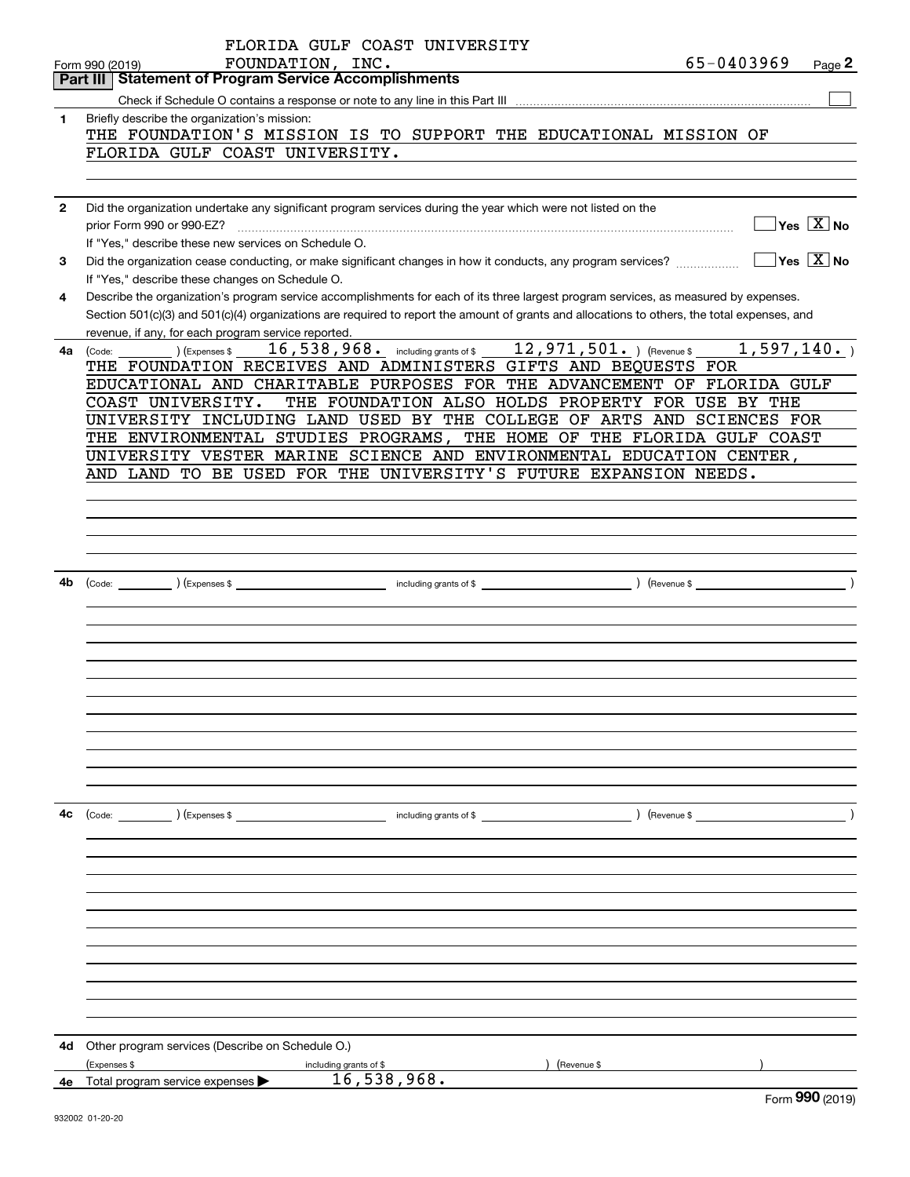|              | FLORIDA GULF COAST UNIVERSITY                                                                                                                                                           |
|--------------|-----------------------------------------------------------------------------------------------------------------------------------------------------------------------------------------|
|              | 65-0403969<br>FOUNDATION, INC.<br>Page 2<br>Form 990 (2019)<br><b>Statement of Program Service Accomplishments</b><br>Part III I                                                        |
|              |                                                                                                                                                                                         |
| 1            | Briefly describe the organization's mission:                                                                                                                                            |
|              | THE FOUNDATION'S MISSION IS TO SUPPORT THE EDUCATIONAL MISSION OF                                                                                                                       |
|              | FLORIDA GULF COAST UNIVERSITY.                                                                                                                                                          |
|              |                                                                                                                                                                                         |
|              |                                                                                                                                                                                         |
| $\mathbf{2}$ | Did the organization undertake any significant program services during the year which were not listed on the                                                                            |
|              | $\overline{\,}$ Yes $\overline{\,\rm X\,}$ No<br>prior Form 990 or 990-EZ?                                                                                                              |
|              | If "Yes," describe these new services on Schedule O.                                                                                                                                    |
| 3            | $\sqrt{}$ Yes $\sqrt{}$ X $\sqrt{}$ No<br>Did the organization cease conducting, or make significant changes in how it conducts, any program services?                                  |
| 4            | If "Yes," describe these changes on Schedule O.<br>Describe the organization's program service accomplishments for each of its three largest program services, as measured by expenses. |
|              | Section 501(c)(3) and 501(c)(4) organizations are required to report the amount of grants and allocations to others, the total expenses, and                                            |
|              | revenue, if any, for each program service reported.                                                                                                                                     |
| 4a           | 16,538,968. including grants of \$12,971,501. ) (Revenue \$1,597,140.)<br>) (Expenses \$<br>(Code:                                                                                      |
|              | THE FOUNDATION RECEIVES AND ADMINISTERS GIFTS AND BEQUESTS FOR                                                                                                                          |
|              | EDUCATIONAL AND CHARITABLE PURPOSES FOR THE ADVANCEMENT OF FLORIDA GULF                                                                                                                 |
|              | COAST UNIVERSITY.<br>THE FOUNDATION ALSO HOLDS PROPERTY FOR USE BY THE                                                                                                                  |
|              | UNIVERSITY INCLUDING LAND USED BY THE COLLEGE OF ARTS AND SCIENCES FOR                                                                                                                  |
|              | THE ENVIRONMENTAL STUDIES PROGRAMS, THE HOME OF THE FLORIDA GULF COAST                                                                                                                  |
|              | UNIVERSITY VESTER MARINE SCIENCE AND ENVIRONMENTAL EDUCATION CENTER,<br>AND LAND TO BE USED FOR THE UNIVERSITY'S FUTURE EXPANSION NEEDS.                                                |
|              |                                                                                                                                                                                         |
|              |                                                                                                                                                                                         |
|              |                                                                                                                                                                                         |
|              |                                                                                                                                                                                         |
|              |                                                                                                                                                                                         |
| 4b           |                                                                                                                                                                                         |
|              |                                                                                                                                                                                         |
|              |                                                                                                                                                                                         |
|              |                                                                                                                                                                                         |
|              |                                                                                                                                                                                         |
|              |                                                                                                                                                                                         |
|              |                                                                                                                                                                                         |
|              |                                                                                                                                                                                         |
|              |                                                                                                                                                                                         |
|              |                                                                                                                                                                                         |
|              |                                                                                                                                                                                         |
|              |                                                                                                                                                                                         |
| 4c           | (Code: ) (Expenses \$                                                                                                                                                                   |
|              |                                                                                                                                                                                         |
|              |                                                                                                                                                                                         |
|              |                                                                                                                                                                                         |
|              |                                                                                                                                                                                         |
|              |                                                                                                                                                                                         |
|              |                                                                                                                                                                                         |
|              |                                                                                                                                                                                         |
|              |                                                                                                                                                                                         |
|              |                                                                                                                                                                                         |
|              |                                                                                                                                                                                         |
|              |                                                                                                                                                                                         |
| 4d           | Other program services (Describe on Schedule O.)                                                                                                                                        |
|              | (Expenses \$<br>(Revenue \$<br>including grants of \$<br>16,538,968.<br>Total program service expenses                                                                                  |
| 4е           | nnn                                                                                                                                                                                     |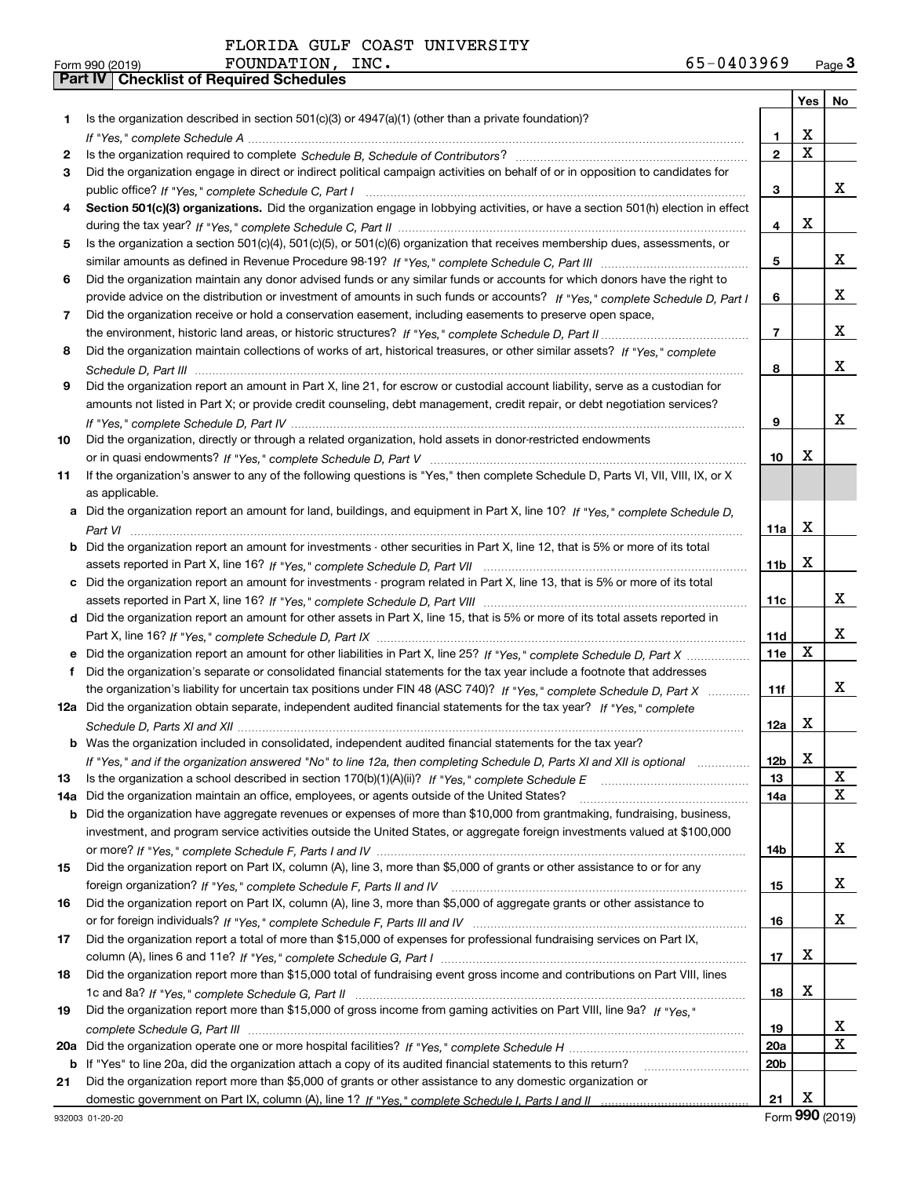| Form 990 (2019) | <b>FOUNDATION,</b>                               | INC. | 65-0403969 | $P$ age $3$ |
|-----------------|--------------------------------------------------|------|------------|-------------|
|                 | <b>Part IV   Checklist of Required Schedules</b> |      |            |             |

|         |                                                                                                                                                    |                               | Yes   No            |   |
|---------|----------------------------------------------------------------------------------------------------------------------------------------------------|-------------------------------|---------------------|---|
| 1       | Is the organization described in section 501(c)(3) or 4947(a)(1) (other than a private foundation)?                                                |                               |                     |   |
|         |                                                                                                                                                    | 1.                            | X                   |   |
| 2       |                                                                                                                                                    | $\overline{2}$                | $\mathbf X$         |   |
| 3       | Did the organization engage in direct or indirect political campaign activities on behalf of or in opposition to candidates for                    |                               |                     |   |
|         |                                                                                                                                                    | 3                             |                     | x |
| 4       | Section 501(c)(3) organizations. Did the organization engage in lobbying activities, or have a section 501(h) election in effect                   |                               |                     |   |
|         |                                                                                                                                                    | 4                             | x                   |   |
| 5       | Is the organization a section 501(c)(4), 501(c)(5), or 501(c)(6) organization that receives membership dues, assessments, or                       |                               |                     |   |
|         |                                                                                                                                                    | 5                             |                     | x |
| 6       | Did the organization maintain any donor advised funds or any similar funds or accounts for which donors have the right to                          |                               |                     |   |
|         | provide advice on the distribution or investment of amounts in such funds or accounts? If "Yes," complete Schedule D, Part I                       | 6                             |                     | x |
| 7       | Did the organization receive or hold a conservation easement, including easements to preserve open space,                                          |                               |                     |   |
|         |                                                                                                                                                    | $\overline{7}$                |                     | x |
| 8       | Did the organization maintain collections of works of art, historical treasures, or other similar assets? If "Yes," complete                       |                               |                     |   |
|         |                                                                                                                                                    | 8                             |                     | x |
| 9       | Did the organization report an amount in Part X, line 21, for escrow or custodial account liability, serve as a custodian for                      |                               |                     |   |
|         | amounts not listed in Part X; or provide credit counseling, debt management, credit repair, or debt negotiation services?                          |                               |                     | x |
|         |                                                                                                                                                    | 9                             |                     |   |
| 10      | Did the organization, directly or through a related organization, hold assets in donor-restricted endowments                                       |                               | x                   |   |
|         |                                                                                                                                                    | 10                            |                     |   |
| 11      | If the organization's answer to any of the following questions is "Yes," then complete Schedule D, Parts VI, VII, VIII, IX, or X<br>as applicable. |                               |                     |   |
|         | Did the organization report an amount for land, buildings, and equipment in Part X, line 10? If "Yes," complete Schedule D.                        |                               |                     |   |
| а       |                                                                                                                                                    | 11a                           | x                   |   |
|         | Did the organization report an amount for investments - other securities in Part X, line 12, that is 5% or more of its total                       |                               |                     |   |
|         |                                                                                                                                                    | 11b                           | x                   |   |
| c       | Did the organization report an amount for investments - program related in Part X, line 13, that is 5% or more of its total                        |                               |                     |   |
|         |                                                                                                                                                    | 11c                           |                     | x |
| d       | Did the organization report an amount for other assets in Part X, line 15, that is 5% or more of its total assets reported in                      |                               |                     |   |
|         |                                                                                                                                                    | 11d                           |                     | x |
|         |                                                                                                                                                    | 11e                           | X                   |   |
| f       | Did the organization's separate or consolidated financial statements for the tax year include a footnote that addresses                            |                               |                     |   |
|         | the organization's liability for uncertain tax positions under FIN 48 (ASC 740)? If "Yes," complete Schedule D, Part X                             | 11f                           |                     | x |
|         | 12a Did the organization obtain separate, independent audited financial statements for the tax year? If "Yes," complete                            |                               |                     |   |
|         |                                                                                                                                                    | 12a                           | X                   |   |
|         | <b>b</b> Was the organization included in consolidated, independent audited financial statements for the tax year?                                 |                               |                     |   |
|         | If "Yes," and if the organization answered "No" to line 12a, then completing Schedule D, Parts XI and XII is optional                              | 12 <sub>b</sub>               | X                   |   |
| 13      | Is the organization a school described in section $170(b)(1)(A)(ii)?$ If "Yes," complete Schedule E                                                | 13                            |                     | X |
| 14a     | Did the organization maintain an office, employees, or agents outside of the United States?                                                        | 14a                           |                     | X |
| b       | Did the organization have aggregate revenues or expenses of more than \$10,000 from grantmaking, fundraising, business,                            |                               |                     |   |
|         | investment, and program service activities outside the United States, or aggregate foreign investments valued at \$100,000                         |                               |                     |   |
|         |                                                                                                                                                    | 14b                           |                     | x |
| 15      | Did the organization report on Part IX, column (A), line 3, more than \$5,000 of grants or other assistance to or for any                          |                               |                     |   |
|         |                                                                                                                                                    | 15                            |                     | x |
| 16      | Did the organization report on Part IX, column (A), line 3, more than \$5,000 of aggregate grants or other assistance to                           |                               |                     |   |
|         |                                                                                                                                                    | 16                            |                     | x |
| 17      | Did the organization report a total of more than \$15,000 of expenses for professional fundraising services on Part IX,                            |                               |                     |   |
|         |                                                                                                                                                    | 17                            | x                   |   |
| 18      | Did the organization report more than \$15,000 total of fundraising event gross income and contributions on Part VIII, lines                       |                               | x                   |   |
|         |                                                                                                                                                    | 18                            |                     |   |
| 19      | Did the organization report more than \$15,000 of gross income from gaming activities on Part VIII, line 9a? If "Yes."                             |                               |                     | x |
|         |                                                                                                                                                    | 19                            |                     | X |
| 20a     | If "Yes" to line 20a, did the organization attach a copy of its audited financial statements to this return?                                       | <b>20a</b><br>20 <sub>b</sub> |                     |   |
| b<br>21 | Did the organization report more than \$5,000 of grants or other assistance to any domestic organization or                                        |                               |                     |   |
|         |                                                                                                                                                    | 21                            | x                   |   |
|         |                                                                                                                                                    |                               | $000 \text{ years}$ |   |

Form (2019) **990**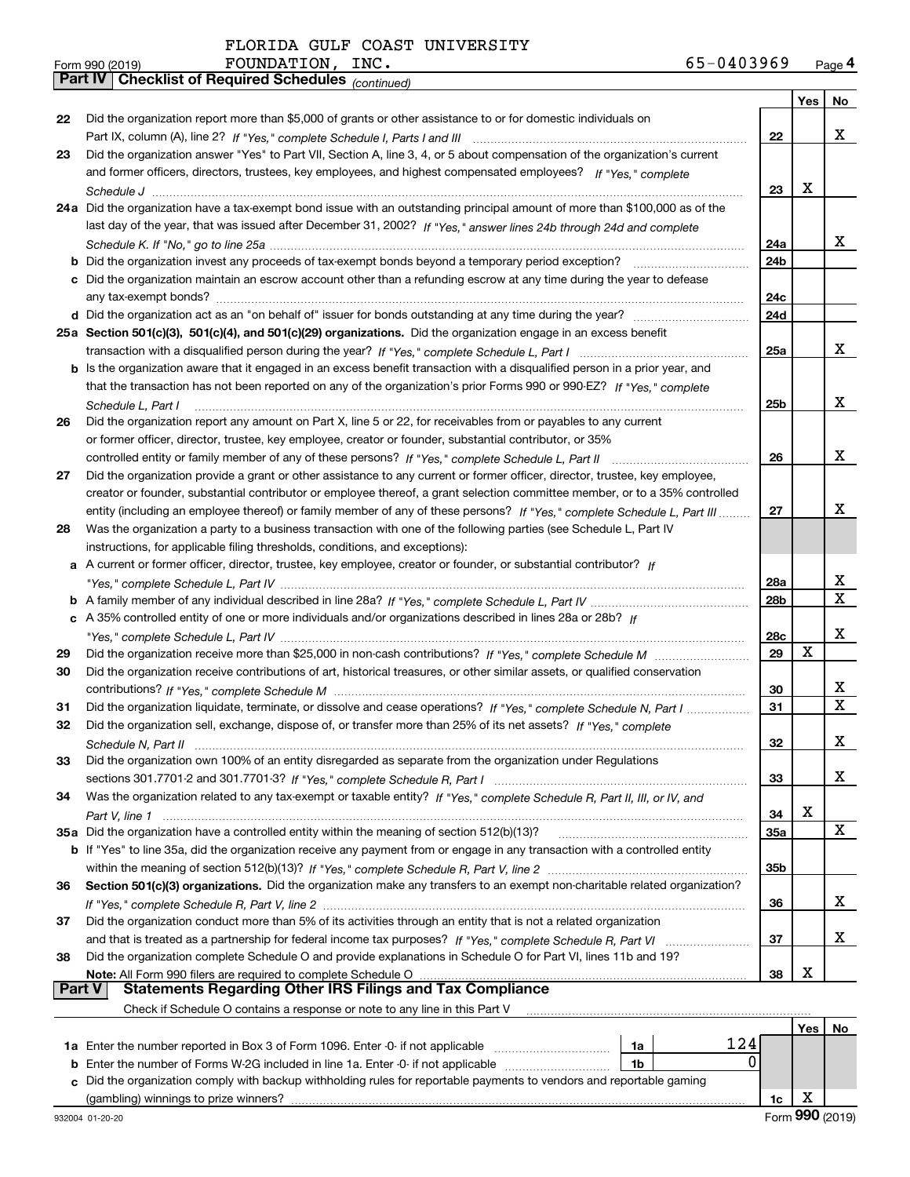|    | FOUNDATION, INC.<br>Form 990 (2019)                                                                                                | 65-0403969 |     | Page 4                  |
|----|------------------------------------------------------------------------------------------------------------------------------------|------------|-----|-------------------------|
|    | Part IV   Checklist of Required Schedules (continued)                                                                              |            |     |                         |
|    |                                                                                                                                    |            | Yes | No                      |
| 22 | Did the organization report more than \$5,000 of grants or other assistance to or for domestic individuals on                      |            |     |                         |
|    |                                                                                                                                    | 22         |     | X                       |
| 23 | Did the organization answer "Yes" to Part VII, Section A, line 3, 4, or 5 about compensation of the organization's current         |            |     |                         |
|    | and former officers, directors, trustees, key employees, and highest compensated employees? If "Yes," complete                     |            |     |                         |
|    |                                                                                                                                    | 23         | X   |                         |
|    | 24a Did the organization have a tax-exempt bond issue with an outstanding principal amount of more than \$100,000 as of the        |            |     |                         |
|    | last day of the year, that was issued after December 31, 2002? If "Yes," answer lines 24b through 24d and complete                 |            |     |                         |
|    |                                                                                                                                    | 24a        |     | x                       |
|    |                                                                                                                                    | 24b        |     |                         |
|    | c Did the organization maintain an escrow account other than a refunding escrow at any time during the year to defease             |            |     |                         |
|    |                                                                                                                                    | 24c        |     |                         |
|    |                                                                                                                                    | 24d        |     |                         |
|    | 25a Section 501(c)(3), 501(c)(4), and 501(c)(29) organizations. Did the organization engage in an excess benefit                   |            |     |                         |
|    |                                                                                                                                    | 25a        |     | x                       |
|    | b Is the organization aware that it engaged in an excess benefit transaction with a disqualified person in a prior year, and       |            |     |                         |
|    | that the transaction has not been reported on any of the organization's prior Forms 990 or 990-EZ? If "Yes," complete              |            |     |                         |
|    | Schedule L, Part I                                                                                                                 | 25b        |     | x                       |
| 26 | Did the organization report any amount on Part X, line 5 or 22, for receivables from or payables to any current                    |            |     |                         |
|    | or former officer, director, trustee, key employee, creator or founder, substantial contributor, or 35%                            |            |     |                         |
|    |                                                                                                                                    | 26         |     | x                       |
| 27 | Did the organization provide a grant or other assistance to any current or former officer, director, trustee, key employee,        |            |     |                         |
|    | creator or founder, substantial contributor or employee thereof, a grant selection committee member, or to a 35% controlled        |            |     |                         |
|    | entity (including an employee thereof) or family member of any of these persons? If "Yes," complete Schedule L, Part III           | 27         |     | х                       |
| 28 | Was the organization a party to a business transaction with one of the following parties (see Schedule L, Part IV                  |            |     |                         |
|    | instructions, for applicable filing thresholds, conditions, and exceptions):                                                       |            |     |                         |
|    | a A current or former officer, director, trustee, key employee, creator or founder, or substantial contributor? If                 |            |     |                         |
|    |                                                                                                                                    | 28a        |     | х                       |
|    |                                                                                                                                    | 28b        |     | $\mathbf X$             |
|    | c A 35% controlled entity of one or more individuals and/or organizations described in lines 28a or 28b? If                        |            |     |                         |
|    |                                                                                                                                    | 28c        |     | х                       |
| 29 |                                                                                                                                    | 29         | X   |                         |
| 30 | Did the organization receive contributions of art, historical treasures, or other similar assets, or qualified conservation        |            |     |                         |
|    |                                                                                                                                    | 30         |     | X                       |
| 31 | Did the organization liquidate, terminate, or dissolve and cease operations? If "Yes," complete Schedule N, Part I                 | 31         |     | $\overline{\mathbf{x}}$ |
| 32 | Did the organization sell, exchange, dispose of, or transfer more than 25% of its net assets? If "Yes," complete                   |            |     |                         |
|    | Schedule N, Part II                                                                                                                | 32         |     | X                       |
| 33 | Did the organization own 100% of an entity disregarded as separate from the organization under Regulations                         |            |     |                         |
|    |                                                                                                                                    | 33         |     | х                       |
| 34 | Was the organization related to any tax-exempt or taxable entity? If "Yes," complete Schedule R, Part II, III, or IV, and          |            |     |                         |
|    |                                                                                                                                    | 34         | X   |                         |
|    |                                                                                                                                    | <b>35a</b> |     | X                       |
|    | <b>b</b> If "Yes" to line 35a, did the organization receive any payment from or engage in any transaction with a controlled entity |            |     |                         |
|    |                                                                                                                                    | 35b        |     |                         |
| 36 | Section 501(c)(3) organizations. Did the organization make any transfers to an exempt non-charitable related organization?         |            |     |                         |
|    |                                                                                                                                    | 36         |     | X                       |
| 37 | Did the organization conduct more than 5% of its activities through an entity that is not a related organization                   |            |     |                         |
|    |                                                                                                                                    | 37         |     | х                       |
| 38 | Did the organization complete Schedule O and provide explanations in Schedule O for Part VI, lines 11b and 19?                     |            |     |                         |
|    |                                                                                                                                    | 38         | X   |                         |
|    | <b>Statements Regarding Other IRS Filings and Tax Compliance</b><br><b>Part V</b>                                                  |            |     |                         |
|    | Check if Schedule O contains a response or note to any line in this Part V                                                         |            |     |                         |
|    |                                                                                                                                    |            |     | Yes   No                |

|                                                                                                                      |    |    | No |
|----------------------------------------------------------------------------------------------------------------------|----|----|----|
| <b>1a</b> Enter the number reported in Box 3 of Form 1096. Enter -0- if not applicable                               | 1a |    |    |
| <b>b</b> Enter the number of Forms W-2G included in line 1a. Enter -0- if not applicable                             | 1b |    |    |
| c Did the organization comply with backup withholding rules for reportable payments to vendors and reportable gaming |    |    |    |
| (gambling) winnings to prize winners?                                                                                |    | 10 |    |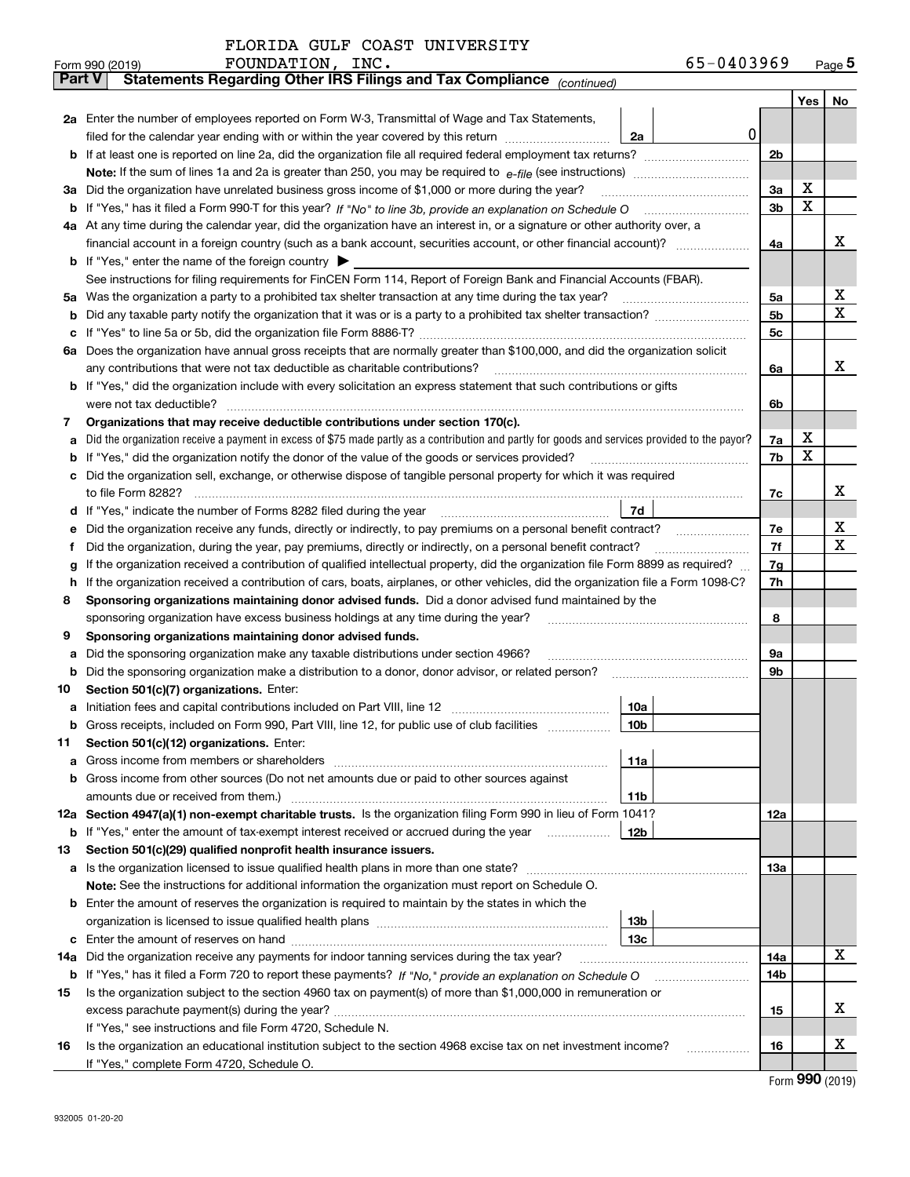|               | 65-0403969<br>FOUNDATION, INC.<br>Form 990 (2019)                                                                                               |                |   | $Page$ <sup>5</sup> |
|---------------|-------------------------------------------------------------------------------------------------------------------------------------------------|----------------|---|---------------------|
| <b>Part V</b> | Statements Regarding Other IRS Filings and Tax Compliance (continued)                                                                           |                |   |                     |
|               |                                                                                                                                                 |                |   | Yes   No            |
|               | 2a Enter the number of employees reported on Form W-3, Transmittal of Wage and Tax Statements,                                                  |                |   |                     |
|               | 0<br>filed for the calendar year ending with or within the year covered by this return <i>manumumumum</i><br>2a                                 |                |   |                     |
|               |                                                                                                                                                 | 2 <sub>b</sub> |   |                     |
|               |                                                                                                                                                 |                |   |                     |
|               | 3a Did the organization have unrelated business gross income of \$1,000 or more during the year?                                                | 3a             | х |                     |
|               |                                                                                                                                                 | 3 <sub>b</sub> | х |                     |
|               | 4a At any time during the calendar year, did the organization have an interest in, or a signature or other authority over, a                    |                |   |                     |
|               |                                                                                                                                                 | 4a             |   | х                   |
|               | <b>b</b> If "Yes," enter the name of the foreign country $\blacktriangleright$                                                                  |                |   |                     |
|               | See instructions for filing requirements for FinCEN Form 114, Report of Foreign Bank and Financial Accounts (FBAR).                             |                |   |                     |
|               |                                                                                                                                                 | 5a             |   | х                   |
| b             |                                                                                                                                                 | 5b             |   | x                   |
| c             |                                                                                                                                                 | 5c             |   |                     |
|               | 6a Does the organization have annual gross receipts that are normally greater than \$100,000, and did the organization solicit                  |                |   |                     |
|               |                                                                                                                                                 | 6a             |   | х                   |
|               | <b>b</b> If "Yes," did the organization include with every solicitation an express statement that such contributions or gifts                   |                |   |                     |
|               |                                                                                                                                                 | 6b             |   |                     |
| 7             | Organizations that may receive deductible contributions under section 170(c).                                                                   |                |   |                     |
| а             | Did the organization receive a payment in excess of \$75 made partly as a contribution and partly for goods and services provided to the payor? | 7a             | х |                     |
| b             | If "Yes," did the organization notify the donor of the value of the goods or services provided?                                                 | 7b             | х |                     |
|               | c Did the organization sell, exchange, or otherwise dispose of tangible personal property for which it was required                             |                |   |                     |
|               |                                                                                                                                                 | 7c             |   | х                   |
|               | 7d                                                                                                                                              |                |   |                     |
| е             | Did the organization receive any funds, directly or indirectly, to pay premiums on a personal benefit contract?                                 | 7e             |   | х                   |
| f             | Did the organization, during the year, pay premiums, directly or indirectly, on a personal benefit contract?                                    | 7f             |   | Χ                   |
| g             | If the organization received a contribution of qualified intellectual property, did the organization file Form 8899 as required?                | 7g             |   |                     |
| h.            | If the organization received a contribution of cars, boats, airplanes, or other vehicles, did the organization file a Form 1098-C?              | 7h             |   |                     |
| 8             | Sponsoring organizations maintaining donor advised funds. Did a donor advised fund maintained by the                                            |                |   |                     |
|               | sponsoring organization have excess business holdings at any time during the year?                                                              | 8              |   |                     |
| 9             | Sponsoring organizations maintaining donor advised funds.                                                                                       |                |   |                     |
| а             | Did the sponsoring organization make any taxable distributions under section 4966?                                                              | 9а             |   |                     |
| b             | Did the sponsoring organization make a distribution to a donor, donor advisor, or related person?                                               | 9b             |   |                     |
| 10            | Section 501(c)(7) organizations. Enter:                                                                                                         |                |   |                     |
|               | 10a                                                                                                                                             |                |   |                     |
|               | 10b <br>Gross receipts, included on Form 990, Part VIII, line 12, for public use of club facilities                                             |                |   |                     |
| 11            | Section 501(c)(12) organizations. Enter:                                                                                                        |                |   |                     |
| a             | Gross income from members or shareholders<br>11a                                                                                                |                |   |                     |
|               | b Gross income from other sources (Do not net amounts due or paid to other sources against                                                      |                |   |                     |
|               | 11b                                                                                                                                             |                |   |                     |
|               | 12a Section 4947(a)(1) non-exempt charitable trusts. Is the organization filing Form 990 in lieu of Form 1041?                                  | 12a            |   |                     |
|               | 12b<br><b>b</b> If "Yes," enter the amount of tax-exempt interest received or accrued during the year                                           |                |   |                     |
| 13            | Section 501(c)(29) qualified nonprofit health insurance issuers.                                                                                |                |   |                     |
|               | a Is the organization licensed to issue qualified health plans in more than one state?                                                          | 13а            |   |                     |
|               | Note: See the instructions for additional information the organization must report on Schedule O.                                               |                |   |                     |
|               | <b>b</b> Enter the amount of reserves the organization is required to maintain by the states in which the<br>13b                                |                |   |                     |
|               | 13с                                                                                                                                             |                |   |                     |
|               | 14a Did the organization receive any payments for indoor tanning services during the tax year?                                                  | 14a            |   | x                   |
|               | <b>b</b> If "Yes," has it filed a Form 720 to report these payments? If "No," provide an explanation on Schedule O                              | 14b            |   |                     |
| 15            | Is the organization subject to the section 4960 tax on payment(s) of more than \$1,000,000 in remuneration or                                   |                |   |                     |
|               |                                                                                                                                                 | 15             |   | х                   |
|               | If "Yes," see instructions and file Form 4720, Schedule N.                                                                                      |                |   |                     |
| 16            | Is the organization an educational institution subject to the section 4968 excise tax on net investment income?                                 | 16             |   | х                   |
|               | If "Yes," complete Form 4720, Schedule O.                                                                                                       |                |   |                     |
|               |                                                                                                                                                 |                |   |                     |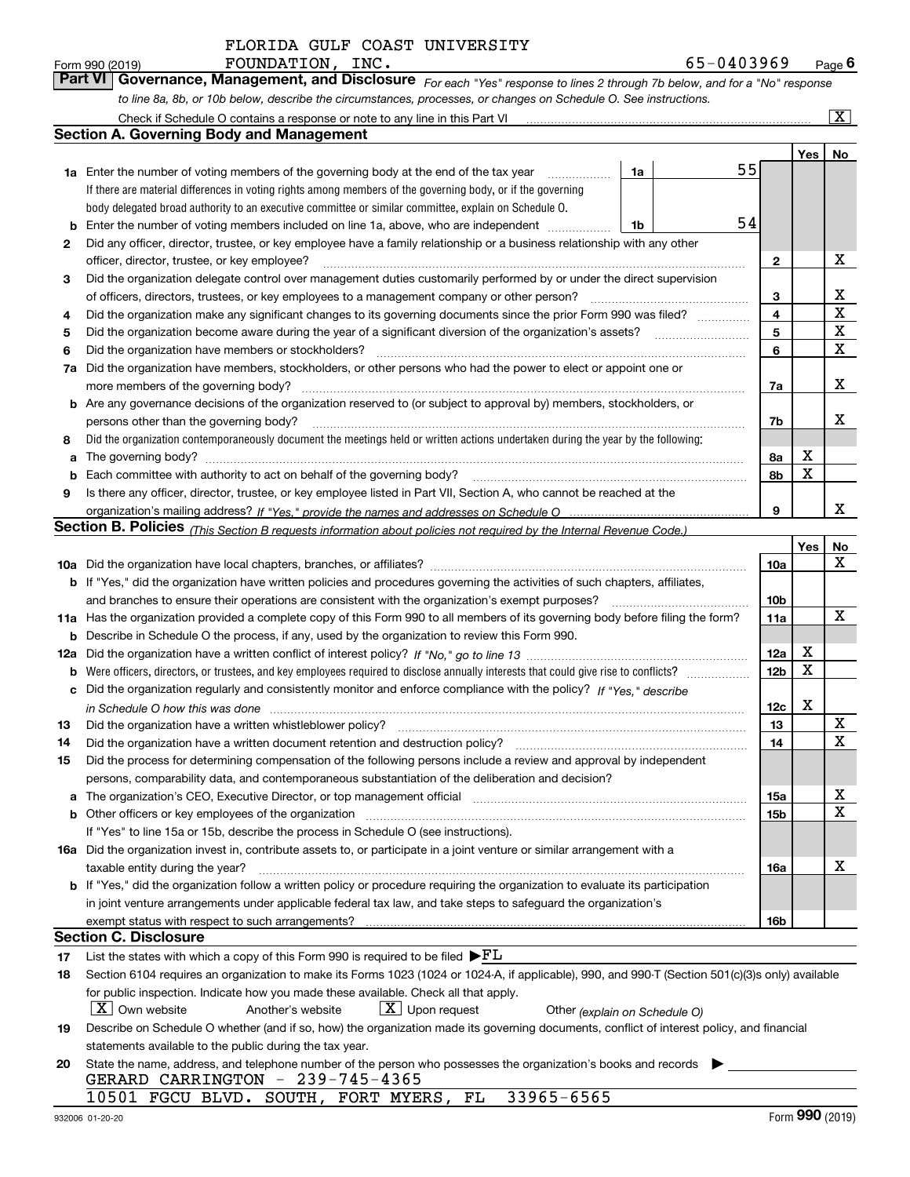*For each "Yes" response to lines 2 through 7b below, and for a "No" response to line 8a, 8b, or 10b below, describe the circumstances, processes, or changes on Schedule O. See instructions.* Form 990 (2019) **FOUNDATION, INC.**<br>**Part VI Governance, Management, and Disclosure** For each "Yes" response to lines 2 through 7b below, and for a "No" response

|     | Check if Schedule O contains a response or note to any line in this Part VI                                                                                                                                      |    |    |                 |     | x           |
|-----|------------------------------------------------------------------------------------------------------------------------------------------------------------------------------------------------------------------|----|----|-----------------|-----|-------------|
|     | <b>Section A. Governing Body and Management</b>                                                                                                                                                                  |    |    |                 |     |             |
|     |                                                                                                                                                                                                                  |    |    |                 | Yes | No          |
|     | 1a Enter the number of voting members of the governing body at the end of the tax year                                                                                                                           | 1a | 55 |                 |     |             |
|     | If there are material differences in voting rights among members of the governing body, or if the governing                                                                                                      |    |    |                 |     |             |
|     | body delegated broad authority to an executive committee or similar committee, explain on Schedule O.                                                                                                            |    |    |                 |     |             |
| b   | Enter the number of voting members included on line 1a, above, who are independent                                                                                                                               | 1b | 54 |                 |     |             |
| 2   | Did any officer, director, trustee, or key employee have a family relationship or a business relationship with any other                                                                                         |    |    |                 |     |             |
|     | officer, director, trustee, or key employee?                                                                                                                                                                     |    |    | $\mathbf{2}$    |     | X           |
| 3   | Did the organization delegate control over management duties customarily performed by or under the direct supervision                                                                                            |    |    |                 |     |             |
|     | of officers, directors, trustees, or key employees to a management company or other person?                                                                                                                      |    |    | 3               |     | x           |
| 4   | Did the organization make any significant changes to its governing documents since the prior Form 990 was filed?                                                                                                 |    |    | $\overline{4}$  |     | $\mathbf X$ |
| 5   |                                                                                                                                                                                                                  |    |    | 5               |     | $\mathbf X$ |
| 6   | Did the organization have members or stockholders?                                                                                                                                                               |    |    | 6               |     | $\mathbf X$ |
| 7a  | Did the organization have members, stockholders, or other persons who had the power to elect or appoint one or                                                                                                   |    |    |                 |     |             |
|     | more members of the governing body?                                                                                                                                                                              |    |    | 7a              |     | х           |
|     | <b>b</b> Are any governance decisions of the organization reserved to (or subject to approval by) members, stockholders, or                                                                                      |    |    |                 |     |             |
|     | persons other than the governing body?                                                                                                                                                                           |    |    | 7b              |     | x           |
| 8   | Did the organization contemporaneously document the meetings held or written actions undertaken during the year by the following:                                                                                |    |    |                 |     |             |
| a   | The governing body?                                                                                                                                                                                              |    |    | 8a              | х   |             |
| b   |                                                                                                                                                                                                                  |    |    | 8b              | X   |             |
| 9   | Is there any officer, director, trustee, or key employee listed in Part VII, Section A, who cannot be reached at the                                                                                             |    |    |                 |     |             |
|     |                                                                                                                                                                                                                  |    |    | 9               |     | x           |
|     | <b>Section B. Policies</b> (This Section B requests information about policies not required by the Internal Revenue Code.)                                                                                       |    |    |                 |     |             |
|     |                                                                                                                                                                                                                  |    |    |                 | Yes | No          |
|     |                                                                                                                                                                                                                  |    |    | 10a             |     | х           |
|     | <b>b</b> If "Yes," did the organization have written policies and procedures governing the activities of such chapters, affiliates,                                                                              |    |    |                 |     |             |
|     | and branches to ensure their operations are consistent with the organization's exempt purposes?                                                                                                                  |    |    | 10 <sub>b</sub> |     |             |
|     | 11a Has the organization provided a complete copy of this Form 990 to all members of its governing body before filing the form?                                                                                  |    |    | 11a             |     | х           |
| b   | Describe in Schedule O the process, if any, used by the organization to review this Form 990.                                                                                                                    |    |    |                 |     |             |
| 12a |                                                                                                                                                                                                                  |    |    | 12a             | х   |             |
| b   |                                                                                                                                                                                                                  |    |    | 12 <sub>b</sub> | X   |             |
| с   | Did the organization regularly and consistently monitor and enforce compliance with the policy? If "Yes." describe                                                                                               |    |    |                 |     |             |
|     | in Schedule O how this was done www.communication.com/www.communications.com/www.communications.com/                                                                                                             |    |    | 12c             | х   |             |
| 13  | Did the organization have a written whistleblower policy?                                                                                                                                                        |    |    | 13              |     | X           |
| 14  | Did the organization have a written document retention and destruction policy?                                                                                                                                   |    |    | 14              |     | х           |
| 15  | Did the process for determining compensation of the following persons include a review and approval by independent                                                                                               |    |    |                 |     |             |
|     | persons, comparability data, and contemporaneous substantiation of the deliberation and decision?                                                                                                                |    |    |                 |     | X           |
|     |                                                                                                                                                                                                                  |    |    | 15a             |     | x           |
|     |                                                                                                                                                                                                                  |    |    | 15b             |     |             |
|     | If "Yes" to line 15a or 15b, describe the process in Schedule O (see instructions).<br>16a Did the organization invest in, contribute assets to, or participate in a joint venture or similar arrangement with a |    |    |                 |     |             |
|     | taxable entity during the year?                                                                                                                                                                                  |    |    | 16a             |     | х           |
|     | b If "Yes," did the organization follow a written policy or procedure requiring the organization to evaluate its participation                                                                                   |    |    |                 |     |             |
|     | in joint venture arrangements under applicable federal tax law, and take steps to safeguard the organization's                                                                                                   |    |    |                 |     |             |
|     |                                                                                                                                                                                                                  |    |    | 16b             |     |             |
|     | Section C. Disclosure                                                                                                                                                                                            |    |    |                 |     |             |
| 17  | List the states with which a copy of this Form 990 is required to be filed $\blacktriangleright$ FL                                                                                                              |    |    |                 |     |             |
| 18  | Section 6104 requires an organization to make its Forms 1023 (1024 or 1024-A, if applicable), 990, and 990-T (Section 501(c)(3)s only) available                                                                 |    |    |                 |     |             |
|     | for public inspection. Indicate how you made these available. Check all that apply.                                                                                                                              |    |    |                 |     |             |
|     | $X$ Own website<br>$\lfloor X \rfloor$ Upon request<br>Another's website<br>Other (explain on Schedule O)                                                                                                        |    |    |                 |     |             |
| 19  | Describe on Schedule O whether (and if so, how) the organization made its governing documents, conflict of interest policy, and financial                                                                        |    |    |                 |     |             |
|     | statements available to the public during the tax year.                                                                                                                                                          |    |    |                 |     |             |
| 20  | State the name, address, and telephone number of the person who possesses the organization's books and records                                                                                                   |    |    |                 |     |             |
|     | GERARD CARRINGTON - 239-745-4365                                                                                                                                                                                 |    |    |                 |     |             |
|     | 33965-6565<br>10501 FGCU BLVD. SOUTH, FORT MYERS, FL                                                                                                                                                             |    |    |                 |     |             |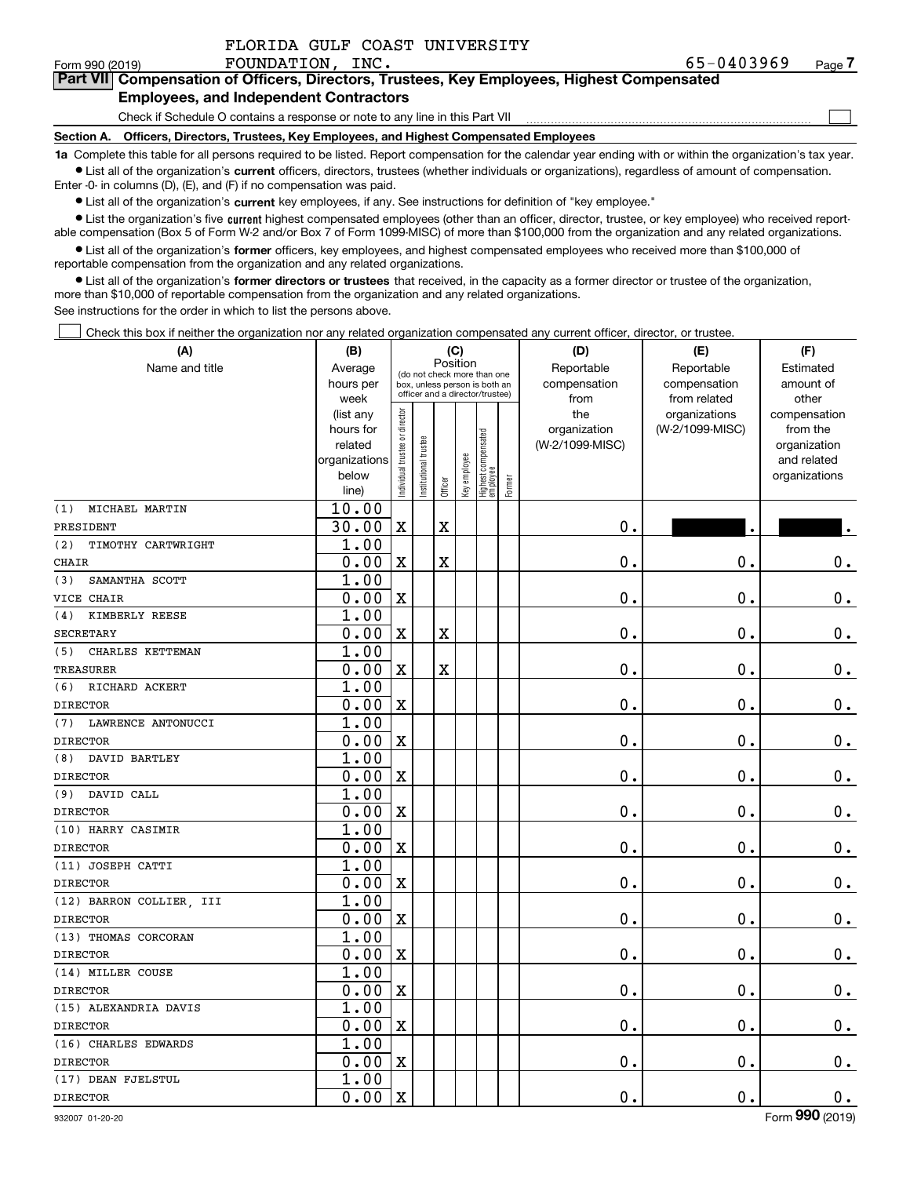$\mathcal{L}^{\text{max}}$ 

#### Form 990 (2019) **FOUNDATION, INC.** 65-0 $4\,0\,3\,9\,6\,9$  <sub>Page</sub> **7Part VII Compensation of Officers, Directors, Trustees, Key Employees, Highest Compensated Employees, and Independent Contractors**

Check if Schedule O contains a response or note to any line in this Part VII

**Section A. Officers, Directors, Trustees, Key Employees, and Highest Compensated Employees**

**1a**  Complete this table for all persons required to be listed. Report compensation for the calendar year ending with or within the organization's tax year. **•** List all of the organization's current officers, directors, trustees (whether individuals or organizations), regardless of amount of compensation.

Enter -0- in columns (D), (E), and (F) if no compensation was paid.

 $\bullet$  List all of the organization's  $\,$ current key employees, if any. See instructions for definition of "key employee."

• List the organization's five current highest compensated employees (other than an officer, director, trustee, or key employee) who received report-■ List the organization's five current highest compensated employees (other than an officer, director, trustee, or key employee) who received report-<br>able compensation (Box 5 of Form W-2 and/or Box 7 of Form 1099-MISC) of

**•** List all of the organization's former officers, key employees, and highest compensated employees who received more than \$100,000 of reportable compensation from the organization and any related organizations.

**former directors or trustees**  ¥ List all of the organization's that received, in the capacity as a former director or trustee of the organization, more than \$10,000 of reportable compensation from the organization and any related organizations.

See instructions for the order in which to list the persons above.

Check this box if neither the organization nor any related organization compensated any current officer, director, or trustee.  $\mathcal{L}^{\text{max}}$ 

| (A)                       | (B)                    |                               |                      | (C)                     |              |                                                                  |        | (D)             | (E)                              | (F)                      |
|---------------------------|------------------------|-------------------------------|----------------------|-------------------------|--------------|------------------------------------------------------------------|--------|-----------------|----------------------------------|--------------------------|
| Name and title            | Average                |                               |                      | Position                |              | (do not check more than one                                      |        | Reportable      | Reportable                       | Estimated                |
|                           | hours per              |                               |                      |                         |              | box, unless person is both an<br>officer and a director/trustee) |        | compensation    | compensation                     | amount of                |
|                           | week                   |                               |                      |                         |              |                                                                  |        | from<br>the     | from related                     | other                    |
|                           | (list any<br>hours for |                               |                      |                         |              |                                                                  |        | organization    | organizations<br>(W-2/1099-MISC) | compensation<br>from the |
|                           | related                |                               |                      |                         |              |                                                                  |        | (W-2/1099-MISC) |                                  | organization             |
|                           | organizations          |                               |                      |                         |              |                                                                  |        |                 |                                  | and related              |
|                           | below                  | ndividual trustee or director | nstitutional trustee |                         | Key employee |                                                                  |        |                 |                                  | organizations            |
|                           | line)                  |                               |                      | Officer                 |              | Highest compensated<br> employee                                 | Former |                 |                                  |                          |
| MICHAEL MARTIN<br>(1)     | 10.00                  |                               |                      |                         |              |                                                                  |        |                 |                                  |                          |
| PRESIDENT                 | 30.00                  | $\mathbf X$                   |                      | $\overline{\textbf{X}}$ |              |                                                                  |        | 0.              |                                  |                          |
| (2)<br>TIMOTHY CARTWRIGHT | 1.00                   |                               |                      |                         |              |                                                                  |        |                 |                                  |                          |
| <b>CHAIR</b>              | 0.00                   | $\overline{\mathbf{X}}$       |                      | $\overline{\text{X}}$   |              |                                                                  |        | $\mathbf 0$ .   | $\mathbf 0$ .                    | $\mathbf 0$ .            |
| SAMANTHA SCOTT<br>(3)     | 1.00                   |                               |                      |                         |              |                                                                  |        |                 |                                  |                          |
| VICE CHAIR                | 0.00                   | $\mathbf X$                   |                      |                         |              |                                                                  |        | $\mathbf 0$ .   | $\mathbf 0$ .                    | $0_{.}$                  |
| KIMBERLY REESE<br>(4)     | 1.00                   |                               |                      |                         |              |                                                                  |        |                 |                                  |                          |
| <b>SECRETARY</b>          | 0.00                   | $\overline{\text{X}}$         |                      | $\overline{\text{X}}$   |              |                                                                  |        | $\mathbf 0$ .   | $\mathbf 0$ .                    | $0_{.}$                  |
| CHARLES KETTEMAN<br>(5)   | 1.00                   |                               |                      |                         |              |                                                                  |        |                 |                                  |                          |
| <b>TREASURER</b>          | 0.00                   | $\mathbf x$                   |                      | $\overline{\textbf{X}}$ |              |                                                                  |        | $\mathbf 0$ .   | $\mathbf 0$ .                    | $0_{.}$                  |
| (6)<br>RICHARD ACKERT     | 1.00                   |                               |                      |                         |              |                                                                  |        |                 |                                  |                          |
| <b>DIRECTOR</b>           | 0.00                   | $\overline{\mathbf{X}}$       |                      |                         |              |                                                                  |        | $\mathbf 0$ .   | $\mathbf 0$ .                    | $0$ .                    |
| LAWRENCE ANTONUCCI<br>(7) | 1.00                   |                               |                      |                         |              |                                                                  |        |                 |                                  |                          |
| <b>DIRECTOR</b>           | 0.00                   | $\mathbf X$                   |                      |                         |              |                                                                  |        | $\mathbf 0$ .   | $\mathbf 0$ .                    | $0_{.}$                  |
| DAVID BARTLEY<br>(8)      | 1.00                   |                               |                      |                         |              |                                                                  |        |                 |                                  |                          |
| <b>DIRECTOR</b>           | 0.00                   | $\mathbf X$                   |                      |                         |              |                                                                  |        | $\mathbf 0$ .   | $\mathbf 0$ .                    | $\mathbf 0$ .            |
| (9) DAVID CALL            | 1.00                   |                               |                      |                         |              |                                                                  |        |                 |                                  |                          |
| <b>DIRECTOR</b>           | 0.00                   | $\mathbf X$                   |                      |                         |              |                                                                  |        | $\mathbf 0$ .   | $\mathbf 0$ .                    | $\mathbf 0$ .            |
| (10) HARRY CASIMIR        | 1.00                   |                               |                      |                         |              |                                                                  |        |                 |                                  |                          |
| <b>DIRECTOR</b>           | 0.00                   | $\overline{\mathbf{X}}$       |                      |                         |              |                                                                  |        | $\mathbf 0$ .   | $\mathbf 0$ .                    | $0$ .                    |
| (11) JOSEPH CATTI         | 1.00                   |                               |                      |                         |              |                                                                  |        |                 |                                  |                          |
| <b>DIRECTOR</b>           | 0.00                   | $\mathbf X$                   |                      |                         |              |                                                                  |        | $\mathbf 0$ .   | $\mathbf 0$ .                    | $0_{.}$                  |
| (12) BARRON COLLIER, III  | 1.00                   |                               |                      |                         |              |                                                                  |        |                 |                                  |                          |
| <b>DIRECTOR</b>           | 0.00                   | $\mathbf X$                   |                      |                         |              |                                                                  |        | $\mathbf 0$ .   | $\mathbf 0$ .                    | $\mathbf 0$ .            |
| (13) THOMAS CORCORAN      | 1.00                   |                               |                      |                         |              |                                                                  |        |                 |                                  |                          |
| <b>DIRECTOR</b>           | 0.00                   | $\mathbf X$                   |                      |                         |              |                                                                  |        | $\mathbf 0$ .   | $\mathbf 0$ .                    | $\mathbf 0$ .            |
| (14) MILLER COUSE         | 1.00                   |                               |                      |                         |              |                                                                  |        |                 |                                  |                          |
| <b>DIRECTOR</b>           | 0.00                   | $\overline{\mathbf{X}}$       |                      |                         |              |                                                                  |        | $\mathbf 0$ .   | $\mathbf 0$ .                    | $0_{.}$                  |
| (15) ALEXANDRIA DAVIS     | 1.00                   |                               |                      |                         |              |                                                                  |        |                 |                                  |                          |
| <b>DIRECTOR</b>           | 0.00                   | $\mathbf X$                   |                      |                         |              |                                                                  |        | $\mathbf 0$ .   | $\mathbf 0$ .                    | $0_{.}$                  |
| (16) CHARLES EDWARDS      | 1.00                   |                               |                      |                         |              |                                                                  |        |                 |                                  |                          |
| <b>DIRECTOR</b>           | 0.00                   | $\mathbf X$                   |                      |                         |              |                                                                  |        | $\mathbf 0$ .   | $\mathbf 0$ .                    | $\mathbf 0$ .            |
| (17) DEAN FJELSTUL        | 1.00                   |                               |                      |                         |              |                                                                  |        |                 |                                  |                          |
| <b>DIRECTOR</b>           | 0.00                   | $\mathbf X$                   |                      |                         |              |                                                                  |        | 0.              | $\mathbf 0$ .                    | $\mathbf 0$ .            |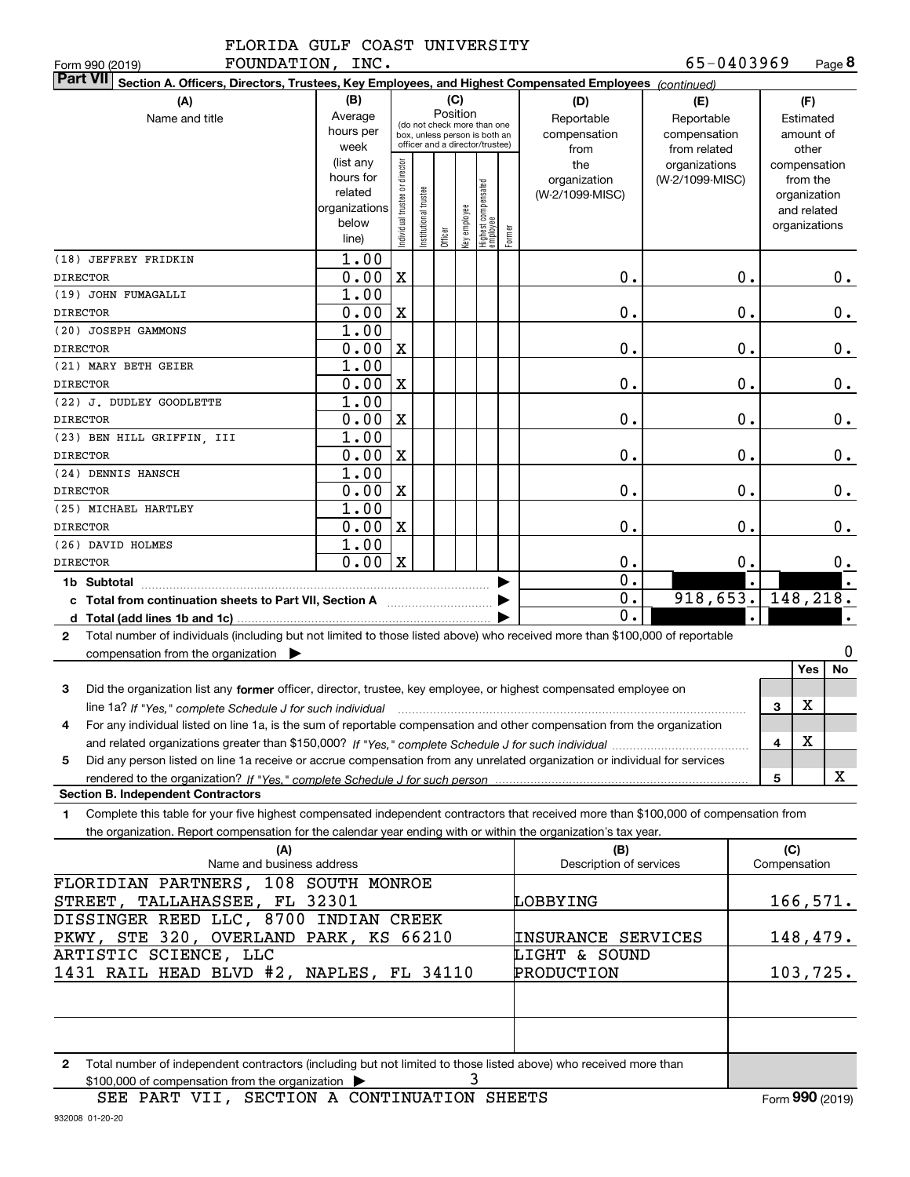**8**65-0403969

| FOUNDATION,<br>Form 990 (2019)                                                                                                                       | INC.                                                                      |                               |                      |              |                 |                                 |        |                         | 65-0403969            |                 | Page 8           |  |
|------------------------------------------------------------------------------------------------------------------------------------------------------|---------------------------------------------------------------------------|-------------------------------|----------------------|--------------|-----------------|---------------------------------|--------|-------------------------|-----------------------|-----------------|------------------|--|
| <b>Part VII</b><br>Section A. Officers, Directors, Trustees, Key Employees, and Highest Compensated Employees (continued)                            |                                                                           |                               |                      |              |                 |                                 |        |                         |                       |                 |                  |  |
| (A)                                                                                                                                                  | (D)                                                                       | (F)                           |                      |              |                 |                                 |        |                         |                       |                 |                  |  |
| Name and title                                                                                                                                       | (B)<br>Average                                                            |                               |                      |              | (C)<br>Position |                                 |        | Reportable              | (E)<br>Reportable     |                 | Estimated        |  |
|                                                                                                                                                      | (do not check more than one<br>hours per<br>box, unless person is both an |                               |                      | compensation | compensation    | amount of                       |        |                         |                       |                 |                  |  |
|                                                                                                                                                      | week                                                                      |                               |                      |              |                 | officer and a director/trustee) |        | from                    | from related          | other           |                  |  |
|                                                                                                                                                      | (list any                                                                 |                               |                      |              |                 |                                 |        | the                     | organizations         |                 | compensation     |  |
|                                                                                                                                                      | hours for                                                                 |                               |                      |              |                 |                                 |        | organization            | (W-2/1099-MISC)       |                 | from the         |  |
|                                                                                                                                                      | related                                                                   |                               |                      |              |                 |                                 |        | (W-2/1099-MISC)         |                       |                 | organization     |  |
|                                                                                                                                                      | organizations                                                             |                               |                      |              |                 |                                 |        |                         |                       |                 | and related      |  |
|                                                                                                                                                      | below                                                                     | ndividual trustee or director | nstitutional trustee |              |                 |                                 |        |                         |                       |                 | organizations    |  |
|                                                                                                                                                      | line)                                                                     |                               |                      | Officer      | Key employee    | Highest compensated<br>employee | Former |                         |                       |                 |                  |  |
| (18) JEFFREY FRIDKIN                                                                                                                                 | 1.00                                                                      |                               |                      |              |                 |                                 |        |                         |                       |                 |                  |  |
| <b>DIRECTOR</b>                                                                                                                                      | 0.00                                                                      | $\mathbf X$                   |                      |              |                 |                                 |        | 0.                      | 0.                    |                 | 0.               |  |
| (19) JOHN FUMAGALLI                                                                                                                                  | 1.00                                                                      |                               |                      |              |                 |                                 |        |                         |                       |                 |                  |  |
| <b>DIRECTOR</b>                                                                                                                                      | 0.00                                                                      | X                             |                      |              |                 |                                 |        | 0.                      | 0.                    |                 | 0.               |  |
| (20) JOSEPH GAMMONS                                                                                                                                  | 1.00                                                                      |                               |                      |              |                 |                                 |        |                         |                       |                 |                  |  |
|                                                                                                                                                      |                                                                           |                               |                      |              |                 |                                 |        |                         |                       |                 |                  |  |
| <b>DIRECTOR</b>                                                                                                                                      | 0.00                                                                      | X                             |                      |              |                 |                                 |        | 0.                      | $\mathbf 0$ .         |                 | 0.               |  |
| (21) MARY BETH GEIER                                                                                                                                 | 1.00                                                                      |                               |                      |              |                 |                                 |        |                         |                       |                 |                  |  |
| <b>DIRECTOR</b>                                                                                                                                      | 0.00                                                                      | X                             |                      |              |                 |                                 |        | 0.                      | $\mathbf 0$ .         |                 | 0.               |  |
| (22) J. DUDLEY GOODLETTE                                                                                                                             | 1.00                                                                      |                               |                      |              |                 |                                 |        |                         |                       |                 |                  |  |
| <b>DIRECTOR</b>                                                                                                                                      | 0.00                                                                      | X                             |                      |              |                 |                                 |        | 0.                      | $\mathbf 0$ .         |                 | 0.               |  |
| (23) BEN HILL GRIFFIN, III                                                                                                                           | 1.00                                                                      |                               |                      |              |                 |                                 |        |                         |                       |                 |                  |  |
| <b>DIRECTOR</b>                                                                                                                                      | 0.00                                                                      | X                             |                      |              |                 |                                 |        | 0.                      | $\mathbf 0$ .         |                 | $0$ .            |  |
| (24) DENNIS HANSCH                                                                                                                                   | 1.00                                                                      |                               |                      |              |                 |                                 |        |                         |                       |                 |                  |  |
| <b>DIRECTOR</b>                                                                                                                                      | 0.00                                                                      | X                             |                      |              |                 |                                 |        | 0.                      | $\mathbf 0$ .         |                 | $0$ .            |  |
| (25) MICHAEL HARTLEY                                                                                                                                 | 1.00                                                                      |                               |                      |              |                 |                                 |        |                         |                       |                 |                  |  |
| <b>DIRECTOR</b>                                                                                                                                      | 0.00                                                                      | X                             |                      |              |                 |                                 |        | 0.                      | $\mathbf 0$ .         |                 | $0$ .            |  |
| (26) DAVID HOLMES                                                                                                                                    | 1.00                                                                      |                               |                      |              |                 |                                 |        |                         |                       |                 |                  |  |
| <b>DIRECTOR</b>                                                                                                                                      | 0.00                                                                      | $\mathbf{x}$                  |                      |              |                 |                                 |        | 0.                      | 0.                    |                 | 0.               |  |
|                                                                                                                                                      |                                                                           |                               |                      |              |                 |                                 |        | 0.                      |                       |                 |                  |  |
| 1b Subtotal                                                                                                                                          |                                                                           |                               |                      |              |                 |                                 |        |                         |                       |                 |                  |  |
| c Total from continuation sheets to Part VII, Section A                                                                                              |                                                                           |                               |                      |              |                 |                                 |        | 0.                      | $918, 653.$ 148, 218. |                 |                  |  |
|                                                                                                                                                      |                                                                           |                               |                      |              |                 |                                 |        | $\mathbf 0$ .           |                       |                 |                  |  |
| Total number of individuals (including but not limited to those listed above) who received more than \$100,000 of reportable<br>$\mathbf{2}$         |                                                                           |                               |                      |              |                 |                                 |        |                         |                       |                 |                  |  |
| compensation from the organization $\blacktriangleright$                                                                                             |                                                                           |                               |                      |              |                 |                                 |        |                         |                       |                 | 0                |  |
|                                                                                                                                                      |                                                                           |                               |                      |              |                 |                                 |        |                         |                       |                 | No<br>Yes        |  |
| 3<br>Did the organization list any former officer, director, trustee, key employee, or highest compensated employee on                               |                                                                           |                               |                      |              |                 |                                 |        |                         |                       |                 |                  |  |
| line 1a? If "Yes," complete Schedule J for such individual manufactured contained and the line 1a? If "Yes," complete Schedule J for such individual |                                                                           |                               |                      |              |                 |                                 |        |                         |                       | 3               | X                |  |
| For any individual listed on line 1a, is the sum of reportable compensation and other compensation from the organization                             |                                                                           |                               |                      |              |                 |                                 |        |                         |                       |                 |                  |  |
|                                                                                                                                                      |                                                                           |                               |                      |              |                 |                                 |        |                         |                       | 4               | х                |  |
| Did any person listed on line 1a receive or accrue compensation from any unrelated organization or individual for services<br>5                      |                                                                           |                               |                      |              |                 |                                 |        |                         |                       |                 |                  |  |
| rendered to the organization? If "Yes." complete Schedule J for such person                                                                          |                                                                           |                               |                      |              |                 |                                 |        |                         |                       | 5               | X                |  |
| <b>Section B. Independent Contractors</b>                                                                                                            |                                                                           |                               |                      |              |                 |                                 |        |                         |                       |                 |                  |  |
|                                                                                                                                                      |                                                                           |                               |                      |              |                 |                                 |        |                         |                       |                 |                  |  |
| Complete this table for your five highest compensated independent contractors that received more than \$100,000 of compensation from<br>1.           |                                                                           |                               |                      |              |                 |                                 |        |                         |                       |                 |                  |  |
| the organization. Report compensation for the calendar year ending with or within the organization's tax year.                                       |                                                                           |                               |                      |              |                 |                                 |        |                         |                       |                 |                  |  |
| (A)                                                                                                                                                  |                                                                           |                               |                      |              |                 |                                 |        | (B)                     |                       | (C)             |                  |  |
| Name and business address                                                                                                                            |                                                                           |                               |                      |              |                 |                                 |        | Description of services |                       | Compensation    |                  |  |
| FLORIDIAN PARTNERS, 108 SOUTH MONROE                                                                                                                 |                                                                           |                               |                      |              |                 |                                 |        |                         |                       |                 |                  |  |
| STREET, TALLAHASSEE, FL 32301<br>LOBBYING                                                                                                            |                                                                           |                               |                      |              |                 |                                 |        |                         |                       | <u>166,571.</u> |                  |  |
| DISSINGER REED LLC, 8700 INDIAN CREEK                                                                                                                |                                                                           |                               |                      |              |                 |                                 |        |                         |                       |                 |                  |  |
| PKWY, STE 320, OVERLAND PARK, KS 66210                                                                                                               |                                                                           |                               |                      |              |                 |                                 |        | INSURANCE SERVICES      |                       |                 | <u> 148,479.</u> |  |
| ARTISTIC SCIENCE, LLC                                                                                                                                |                                                                           |                               |                      |              |                 |                                 |        | LIGHT & SOUND           |                       |                 |                  |  |
| 1431 RAIL HEAD BLVD #2, NAPLES, FL 34110                                                                                                             |                                                                           |                               |                      |              |                 |                                 |        | PRODUCTION              |                       |                 | 103,725.         |  |
|                                                                                                                                                      |                                                                           |                               |                      |              |                 |                                 |        |                         |                       |                 |                  |  |
|                                                                                                                                                      |                                                                           |                               |                      |              |                 |                                 |        |                         |                       |                 |                  |  |
|                                                                                                                                                      |                                                                           |                               |                      |              |                 |                                 |        |                         |                       |                 |                  |  |

**2**Total number of independent contractors (including but not limited to those listed above) who received more than 3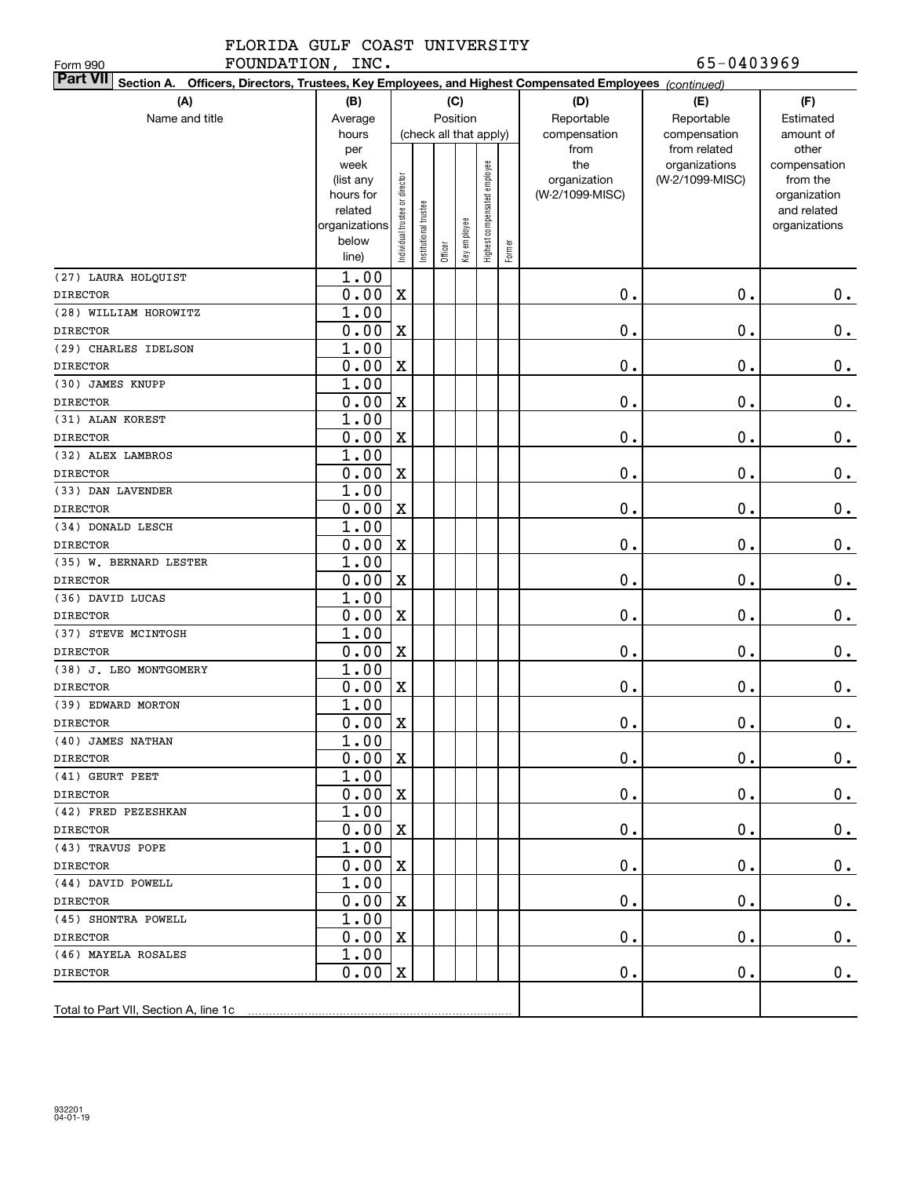FOUNDATION, INC. 65-0403969

Form 990

| Part VII Section A. Officers, Directors, Trustees, Key Employees, and Highest Compensated Employees (continued) |                    |                                |                        |         |              |                              |        |                     |                                  |                          |  |
|-----------------------------------------------------------------------------------------------------------------|--------------------|--------------------------------|------------------------|---------|--------------|------------------------------|--------|---------------------|----------------------------------|--------------------------|--|
| (A)                                                                                                             | (D)                | (E)                            | (F)                    |         |              |                              |        |                     |                                  |                          |  |
| Name and title                                                                                                  | Average            |                                |                        |         | Position     |                              |        | Reportable          | Reportable                       | Estimated                |  |
|                                                                                                                 | hours              |                                | (check all that apply) |         |              |                              |        | compensation        | compensation                     | amount of                |  |
|                                                                                                                 | per                |                                |                        |         |              |                              |        | from                | from related                     | other                    |  |
|                                                                                                                 | week<br>(list any  |                                |                        |         |              | Highest compensated employee |        | the<br>organization | organizations<br>(W-2/1099-MISC) | compensation<br>from the |  |
|                                                                                                                 | hours for          |                                |                        |         |              |                              |        | (W-2/1099-MISC)     |                                  | organization             |  |
|                                                                                                                 | related            |                                |                        |         |              |                              |        |                     |                                  | and related              |  |
|                                                                                                                 | organizations      |                                |                        |         |              |                              |        |                     |                                  | organizations            |  |
|                                                                                                                 | below              | Individual trustee or director | nstitutional trustee   |         | Key employee |                              | Former |                     |                                  |                          |  |
|                                                                                                                 | line)              |                                |                        | Officer |              |                              |        |                     |                                  |                          |  |
| (27) LAURA HOLQUIST                                                                                             | 1.00               |                                |                        |         |              |                              |        |                     |                                  |                          |  |
| <b>DIRECTOR</b>                                                                                                 | 0.00               | $\mathbf X$                    |                        |         |              |                              |        | 0.                  | $0$ .                            | 0.                       |  |
| (28) WILLIAM HOROWITZ                                                                                           | 1.00               |                                |                        |         |              |                              |        |                     |                                  |                          |  |
| <b>DIRECTOR</b>                                                                                                 | 0.00               | $\mathbf X$                    |                        |         |              |                              |        | $\mathbf 0$ .       | 0.                               | $\mathbf 0$ .            |  |
| (29) CHARLES IDELSON                                                                                            | 1.00               |                                |                        |         |              |                              |        |                     |                                  |                          |  |
| <b>DIRECTOR</b>                                                                                                 | 0.00               | $\mathbf X$                    |                        |         |              |                              |        | $\mathbf 0$ .       | 0.                               | $\mathbf 0$ .            |  |
| (30) JAMES KNUPP                                                                                                | 1.00               |                                |                        |         |              |                              |        |                     |                                  |                          |  |
| <b>DIRECTOR</b>                                                                                                 | 0.00               | $\mathbf X$                    |                        |         |              |                              |        | $\mathbf 0$ .       | 0.                               | $\mathbf 0$ .            |  |
| (31) ALAN KOREST                                                                                                | 1.00               |                                |                        |         |              |                              |        |                     |                                  |                          |  |
| <b>DIRECTOR</b>                                                                                                 | 0.00               | $\mathbf X$                    |                        |         |              |                              |        | $\mathbf 0$ .       | 0.                               | 0.                       |  |
| (32) ALEX LAMBROS                                                                                               | 1.00               |                                |                        |         |              |                              |        |                     |                                  |                          |  |
| <b>DIRECTOR</b>                                                                                                 | 0.00               | $\mathbf X$                    |                        |         |              |                              |        | $\mathbf 0$ .       | 0.                               | $0_{.}$                  |  |
| (33) DAN LAVENDER                                                                                               | 1.00               |                                |                        |         |              |                              |        |                     |                                  |                          |  |
| <b>DIRECTOR</b>                                                                                                 | 0.00               | $\mathbf X$                    |                        |         |              |                              |        | $\mathbf 0$ .       | 0.                               | $\mathbf 0$ .            |  |
| (34) DONALD LESCH                                                                                               | 1.00               |                                |                        |         |              |                              |        |                     |                                  |                          |  |
| <b>DIRECTOR</b>                                                                                                 | 0.00               | $\mathbf X$                    |                        |         |              |                              |        | $\mathbf 0$ .       | 0.                               | $\mathbf 0$ .            |  |
| (35) W. BERNARD LESTER                                                                                          | 1.00               |                                |                        |         |              |                              |        |                     |                                  |                          |  |
| <b>DIRECTOR</b>                                                                                                 | 0.00               | $\mathbf X$                    |                        |         |              |                              |        | $\mathbf 0$ .       | 0.                               | $\mathbf 0$ .            |  |
| (36) DAVID LUCAS                                                                                                | 1.00               |                                |                        |         |              |                              |        |                     |                                  |                          |  |
| <b>DIRECTOR</b>                                                                                                 | 0.00               | $\mathbf X$                    |                        |         |              |                              |        | $\mathbf 0$ .       | 0.                               | $\mathbf 0$ .            |  |
| (37) STEVE MCINTOSH                                                                                             | 1.00               |                                |                        |         |              |                              |        |                     |                                  |                          |  |
| <b>DIRECTOR</b>                                                                                                 | 0.00               | $\mathbf X$                    |                        |         |              |                              |        | $\mathbf 0$ .       | 0.                               | $\mathbf 0$ .            |  |
| (38) J. LEO MONTGOMERY                                                                                          | 1.00               |                                |                        |         |              |                              |        |                     |                                  |                          |  |
| <b>DIRECTOR</b>                                                                                                 | 0.00               | $\mathbf X$                    |                        |         |              |                              |        | $\mathbf 0$ .       | 0.                               | 0.                       |  |
| (39) EDWARD MORTON                                                                                              | 1.00               |                                |                        |         |              |                              |        |                     |                                  |                          |  |
| <b>DIRECTOR</b>                                                                                                 | 0.00               | $\mathbf X$                    |                        |         |              |                              |        | $\mathbf 0$ .       | 0.                               | $\mathbf 0$ .            |  |
| (40) JAMES NATHAN                                                                                               | 1.00               |                                |                        |         |              |                              |        |                     |                                  |                          |  |
| <b>DIRECTOR</b>                                                                                                 | $0.00 \,   X$      |                                |                        |         |              |                              |        | $\mathbf 0$ .       | 0.                               | $0$ .                    |  |
| (41) GEURT PEET                                                                                                 | 1.00               |                                |                        |         |              |                              |        |                     |                                  |                          |  |
| <b>DIRECTOR</b>                                                                                                 | $0.00 \, \text{X}$ |                                |                        |         |              |                              |        | $\mathbf 0$ .       | 0.                               | $0$ .                    |  |
| (42) FRED PEZESHKAN                                                                                             | 1.00               |                                |                        |         |              |                              |        |                     |                                  |                          |  |
| DIRECTOR                                                                                                        | $0.00 \, \text{X}$ |                                |                        |         |              |                              |        | $\mathbf 0$ .       | 0.                               | $0$ .                    |  |
| (43) TRAVUS POPE                                                                                                | 1.00               |                                |                        |         |              |                              |        |                     |                                  |                          |  |
| <b>DIRECTOR</b>                                                                                                 | $0.00 \, \text{X}$ |                                |                        |         |              |                              |        | $\mathbf 0$ .       | 0.                               | $\mathbf 0$ .            |  |
| (44) DAVID POWELL                                                                                               | 1.00               |                                |                        |         |              |                              |        |                     |                                  |                          |  |
| <b>DIRECTOR</b>                                                                                                 | $0.00 \, \text{X}$ |                                |                        |         |              |                              |        | $\mathbf 0$ .       | 0.                               | $0$ .                    |  |
| (45) SHONTRA POWELL                                                                                             | 1.00               |                                |                        |         |              |                              |        |                     |                                  |                          |  |
| DIRECTOR                                                                                                        | $0.00 \, \text{X}$ |                                |                        |         |              |                              |        | 0.                  | 0.                               | 0.                       |  |
| (46) MAYELA ROSALES                                                                                             | 1.00               |                                |                        |         |              |                              |        |                     |                                  |                          |  |
| <b>DIRECTOR</b>                                                                                                 | $0.00 \, \text{X}$ |                                |                        |         |              |                              |        | $\mathbf 0$ .       | $\mathbf 0$ .                    | $0$ .                    |  |
|                                                                                                                 |                    |                                |                        |         |              |                              |        |                     |                                  |                          |  |
| Total to Part VII, Section A, line 1c                                                                           |                    |                                |                        |         |              |                              |        |                     |                                  |                          |  |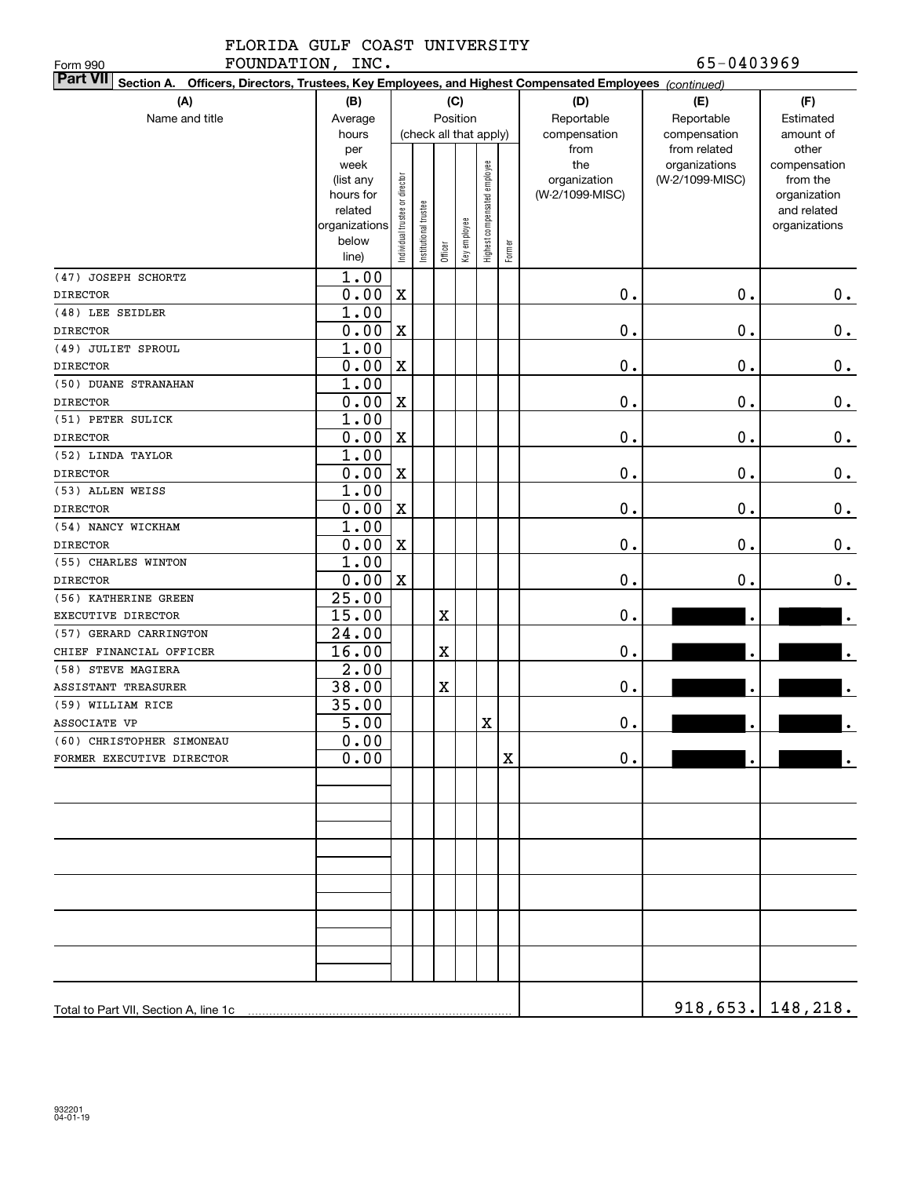FOUNDATION, INC. 65-0403969

| FOUNDATION, INC.<br>Form 990                                                                                              |                      |                                |                       |             |              |                              |        |                 | 65-0403969      |                             |
|---------------------------------------------------------------------------------------------------------------------------|----------------------|--------------------------------|-----------------------|-------------|--------------|------------------------------|--------|-----------------|-----------------|-----------------------------|
| <b>Part VII</b><br>Section A. Officers, Directors, Trustees, Key Employees, and Highest Compensated Employees (continued) |                      |                                |                       |             |              |                              |        |                 |                 |                             |
| (A)                                                                                                                       | (B)                  |                                |                       |             | (C)          |                              |        | (D)             | (E)             | (F)                         |
| Name and title                                                                                                            | Average              |                                |                       |             | Position     |                              |        | Reportable      | Reportable      | Estimated                   |
|                                                                                                                           | hours                |                                |                       |             |              | (check all that apply)       |        | compensation    | compensation    | amount of                   |
|                                                                                                                           | per                  |                                |                       |             |              |                              |        | from            | from related    | other                       |
|                                                                                                                           | week                 |                                |                       |             |              |                              |        | the             | organizations   | compensation                |
|                                                                                                                           | (list any            |                                |                       |             |              |                              |        | organization    | (W-2/1099-MISC) | from the                    |
|                                                                                                                           | hours for<br>related |                                |                       |             |              |                              |        | (W-2/1099-MISC) |                 | organization<br>and related |
|                                                                                                                           | organizations        | Individual trustee or director | Institutional trustee |             |              | Highest compensated employee |        |                 |                 | organizations               |
|                                                                                                                           | below                |                                |                       |             |              |                              |        |                 |                 |                             |
|                                                                                                                           | line)                |                                |                       | Officer     | Key employee |                              | Former |                 |                 |                             |
| (47) JOSEPH SCHORTZ                                                                                                       | 1.00                 |                                |                       |             |              |                              |        |                 |                 |                             |
| <b>DIRECTOR</b>                                                                                                           | 0.00                 | X                              |                       |             |              |                              |        | 0.              | $0$ .           | $0$ .                       |
| (48) LEE SEIDLER                                                                                                          | 1.00                 |                                |                       |             |              |                              |        |                 |                 |                             |
| <b>DIRECTOR</b>                                                                                                           | 0.00                 | $\mathbf X$                    |                       |             |              |                              |        | 0.              | $0$ .           | $\mathbf 0$ .               |
| (49) JULIET SPROUL                                                                                                        | 1.00                 |                                |                       |             |              |                              |        |                 |                 |                             |
| <b>DIRECTOR</b>                                                                                                           | 0.00                 | $\mathbf X$                    |                       |             |              |                              |        | 0.              | $0$ .           | $\mathbf 0$ .               |
| (50) DUANE STRANAHAN                                                                                                      | 1.00                 |                                |                       |             |              |                              |        |                 |                 |                             |
| <b>DIRECTOR</b>                                                                                                           | 0.00                 | $\mathbf X$                    |                       |             |              |                              |        | 0.              | $0$ .           | $\mathbf 0$ .               |
| (51) PETER SULICK                                                                                                         | 1.00                 |                                |                       |             |              |                              |        |                 |                 |                             |
| <b>DIRECTOR</b>                                                                                                           | 0.00                 | $\mathbf X$                    |                       |             |              |                              |        | 0.              | $0$ .           | 0.                          |
| (52) LINDA TAYLOR                                                                                                         | 1.00                 |                                |                       |             |              |                              |        |                 |                 |                             |
| <b>DIRECTOR</b>                                                                                                           | 0.00                 | $\mathbf X$                    |                       |             |              |                              |        | 0.              | $0$ .           | $0$ .                       |
| (53) ALLEN WEISS                                                                                                          | 1.00                 |                                |                       |             |              |                              |        |                 |                 |                             |
| <b>DIRECTOR</b>                                                                                                           | 0.00                 | $\mathbf X$                    |                       |             |              |                              |        | 0.              | $0$ .           | 0.                          |
| (54) NANCY WICKHAM                                                                                                        | 1.00                 |                                |                       |             |              |                              |        |                 |                 |                             |
| <b>DIRECTOR</b>                                                                                                           | 0.00                 | $\mathbf X$                    |                       |             |              |                              |        | 0.              | $0$ .           | 0.                          |
| (55) CHARLES WINTON                                                                                                       | 1.00                 |                                |                       |             |              |                              |        |                 |                 |                             |
| <b>DIRECTOR</b>                                                                                                           | 0.00                 | $\mathbf X$                    |                       |             |              |                              |        | 0.              | 0.              | $0$ .                       |
| (56) KATHERINE GREEN                                                                                                      | 25.00                |                                |                       |             |              |                              |        |                 |                 |                             |
| EXECUTIVE DIRECTOR                                                                                                        | 15.00                |                                |                       | $\mathbf X$ |              |                              |        | 0.              | $\bullet$       |                             |
| (57) GERARD CARRINGTON                                                                                                    | 24.00                |                                |                       |             |              |                              |        |                 |                 |                             |
| CHIEF FINANCIAL OFFICER                                                                                                   | 16.00                |                                |                       | $\mathbf X$ |              |                              |        | $\mathbf 0$ .   | $\bullet$       |                             |
| (58) STEVE MAGIERA                                                                                                        | 2.00                 |                                |                       |             |              |                              |        |                 |                 |                             |
| ASSISTANT TREASURER                                                                                                       | 38.00                |                                |                       | $\mathbf X$ |              |                              |        | $\mathbf 0$ .   | $\bullet$       |                             |
| (59) WILLIAM RICE                                                                                                         | 35.00                |                                |                       |             |              |                              |        |                 |                 |                             |
| ASSOCIATE VP                                                                                                              | 5.00                 |                                |                       |             |              | X                            |        | $\mathbf 0$ .   |                 |                             |
| (60) CHRISTOPHER SIMONEAU                                                                                                 | 0.00                 |                                |                       |             |              |                              |        |                 |                 |                             |
| FORMER EXECUTIVE DIRECTOR                                                                                                 | 0.00                 |                                |                       |             |              |                              | X      | $\mathbf 0$ .   |                 |                             |
|                                                                                                                           |                      |                                |                       |             |              |                              |        |                 |                 |                             |
|                                                                                                                           |                      |                                |                       |             |              |                              |        |                 |                 |                             |
|                                                                                                                           |                      |                                |                       |             |              |                              |        |                 |                 |                             |
|                                                                                                                           |                      |                                |                       |             |              |                              |        |                 |                 |                             |
|                                                                                                                           |                      |                                |                       |             |              |                              |        |                 |                 |                             |
|                                                                                                                           |                      |                                |                       |             |              |                              |        |                 |                 |                             |
|                                                                                                                           |                      |                                |                       |             |              |                              |        |                 |                 |                             |
|                                                                                                                           |                      |                                |                       |             |              |                              |        |                 |                 |                             |
|                                                                                                                           |                      |                                |                       |             |              |                              |        |                 |                 |                             |
|                                                                                                                           |                      |                                |                       |             |              |                              |        |                 |                 |                             |
|                                                                                                                           |                      |                                |                       |             |              |                              |        |                 |                 |                             |
|                                                                                                                           |                      |                                |                       |             |              |                              |        |                 |                 |                             |
| Total to Part VII, Section A, line 1c                                                                                     |                      |                                |                       |             |              |                              |        |                 |                 | <u>918,653. 148,218.</u>    |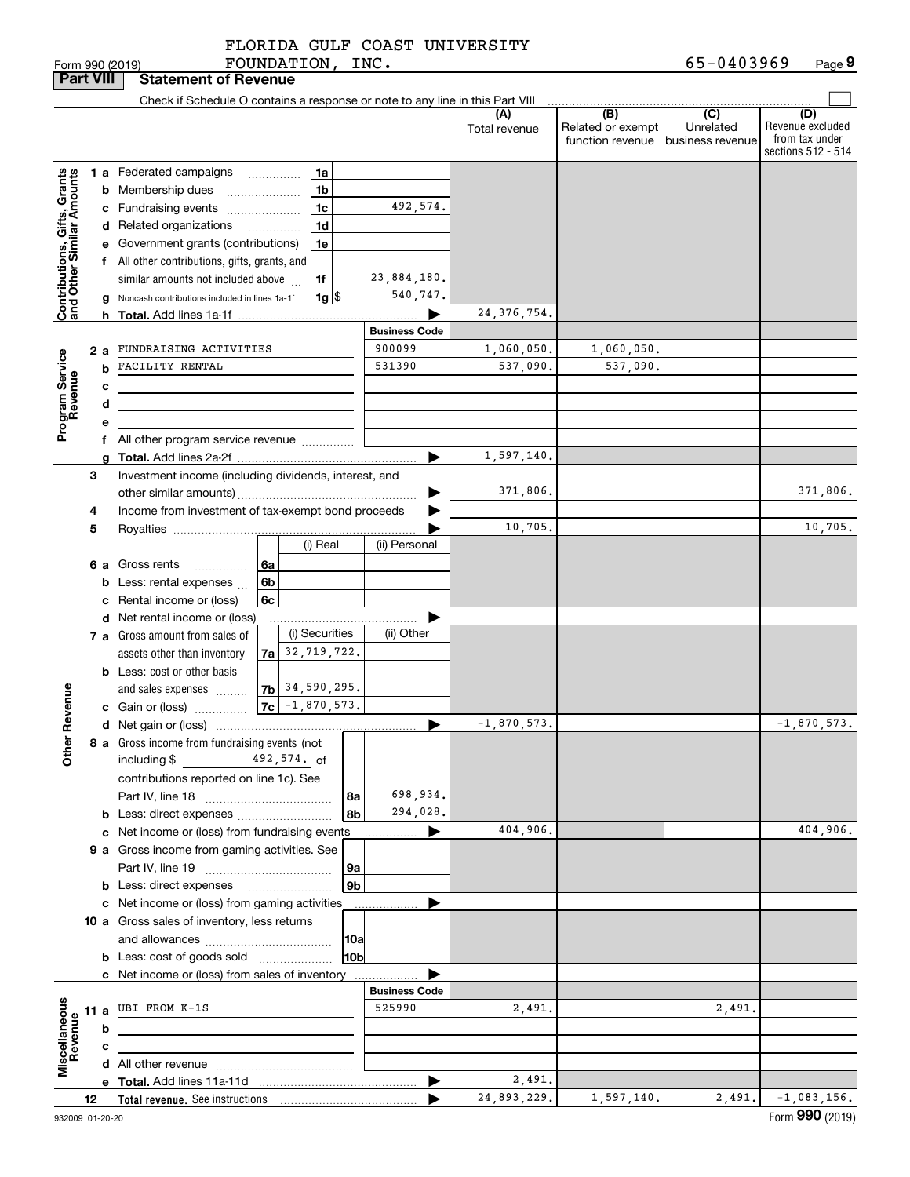FOUNDATION, INC.

|                                                           | <b>Part VIII</b> |                                          | <b>Statement of Revenue</b>                                                                                          |    |                     |                                |                      |                                              |                                                 |                                                                 |
|-----------------------------------------------------------|------------------|------------------------------------------|----------------------------------------------------------------------------------------------------------------------|----|---------------------|--------------------------------|----------------------|----------------------------------------------|-------------------------------------------------|-----------------------------------------------------------------|
|                                                           |                  |                                          | Check if Schedule O contains a response or note to any line in this Part VIII                                        |    |                     |                                |                      |                                              |                                                 |                                                                 |
|                                                           |                  |                                          |                                                                                                                      |    |                     |                                | (A)<br>Total revenue | (B)<br>Related or exempt<br>function revenue | $\overline{C}$<br>Unrelated<br>business revenue | (D)<br>Revenue excluded<br>from tax under<br>sections 512 - 514 |
|                                                           |                  |                                          | 1 a Federated campaigns                                                                                              |    | 1a                  |                                |                      |                                              |                                                 |                                                                 |
|                                                           |                  |                                          | <b>b</b> Membership dues                                                                                             |    | 1b                  |                                |                      |                                              |                                                 |                                                                 |
|                                                           |                  |                                          | c Fundraising events                                                                                                 |    | 1 <sub>c</sub>      | 492,574.                       |                      |                                              |                                                 |                                                                 |
|                                                           |                  |                                          | d Related organizations                                                                                              |    | 1d                  |                                |                      |                                              |                                                 |                                                                 |
|                                                           |                  |                                          | e Government grants (contributions)                                                                                  |    | 1e                  |                                |                      |                                              |                                                 |                                                                 |
|                                                           |                  |                                          | f All other contributions, gifts, grants, and                                                                        |    |                     |                                |                      |                                              |                                                 |                                                                 |
|                                                           |                  | similar amounts not included above<br>1f |                                                                                                                      |    |                     | 23,884,180.                    |                      |                                              |                                                 |                                                                 |
| Contributions, Gifts, Grants<br>and Other Similar Amounts |                  |                                          | g Noncash contributions included in lines 1a-1f                                                                      |    | $1g$ $\frac{1}{3}$  | 540,747.                       |                      |                                              |                                                 |                                                                 |
|                                                           |                  |                                          |                                                                                                                      |    |                     | ▶                              | 24, 376, 754.        |                                              |                                                 |                                                                 |
|                                                           |                  |                                          |                                                                                                                      |    |                     | <b>Business Code</b>           |                      |                                              |                                                 |                                                                 |
|                                                           | 2а               |                                          | FUNDRAISING ACTIVITIES                                                                                               |    |                     | 900099                         | 1,060,050.           | 1,060,050.                                   |                                                 |                                                                 |
|                                                           |                  | b                                        | FACILITY RENTAL                                                                                                      |    |                     | 531390                         | 537,090.             | 537,090.                                     |                                                 |                                                                 |
|                                                           |                  | c                                        | the control of the control of the control of the control of the control of                                           |    |                     |                                |                      |                                              |                                                 |                                                                 |
|                                                           |                  | d                                        | <u> 1989 - Johann Stein, marwolaethau a bhann an t-Amhair an t-Amhair an t-Amhair an t-Amhair an t-Amhair an t-A</u> |    |                     |                                |                      |                                              |                                                 |                                                                 |
| Program Service<br>Revenue                                |                  | е                                        |                                                                                                                      |    |                     |                                |                      |                                              |                                                 |                                                                 |
|                                                           |                  |                                          | f All other program service revenue                                                                                  |    |                     | ▶                              | 1,597,140.           |                                              |                                                 |                                                                 |
|                                                           | 3                |                                          | Investment income (including dividends, interest, and                                                                |    |                     |                                |                      |                                              |                                                 |                                                                 |
|                                                           |                  |                                          |                                                                                                                      |    |                     |                                | 371,806.             |                                              |                                                 | 371,806.                                                        |
|                                                           | 4                |                                          | Income from investment of tax-exempt bond proceeds                                                                   |    |                     |                                |                      |                                              |                                                 |                                                                 |
|                                                           | 5                |                                          |                                                                                                                      |    |                     |                                | 10,705.              |                                              |                                                 | 10,705.                                                         |
|                                                           |                  |                                          |                                                                                                                      |    | (i) Real            | (ii) Personal                  |                      |                                              |                                                 |                                                                 |
|                                                           |                  |                                          | 6 a Gross rents<br>.                                                                                                 | 6a |                     |                                |                      |                                              |                                                 |                                                                 |
|                                                           |                  |                                          | <b>b</b> Less: rental expenses $\ldots$                                                                              | 6b |                     |                                |                      |                                              |                                                 |                                                                 |
|                                                           |                  |                                          | c Rental income or (loss)                                                                                            | 6c |                     |                                |                      |                                              |                                                 |                                                                 |
|                                                           |                  |                                          | d Net rental income or (loss)                                                                                        |    |                     |                                |                      |                                              |                                                 |                                                                 |
|                                                           |                  |                                          | 7 a Gross amount from sales of                                                                                       |    | (i) Securities      | (ii) Other                     |                      |                                              |                                                 |                                                                 |
|                                                           |                  |                                          | assets other than inventory                                                                                          |    | $7a$ 32, 719, 722.  |                                |                      |                                              |                                                 |                                                                 |
|                                                           |                  |                                          | <b>b</b> Less: cost or other basis                                                                                   |    |                     |                                |                      |                                              |                                                 |                                                                 |
| Revenue                                                   |                  |                                          | and sales expenses                                                                                                   |    | $ 7b $ 34,590,295.  |                                |                      |                                              |                                                 |                                                                 |
|                                                           |                  |                                          | c Gain or (loss)                                                                                                     |    | $ 7c  - 1,870,573.$ |                                |                      |                                              |                                                 |                                                                 |
|                                                           |                  |                                          |                                                                                                                      |    |                     | ▶                              | $-1,870,573.$        |                                              |                                                 | $-1,870,573.$                                                   |
| <b>Othe</b>                                               |                  |                                          | 8 a Gross income from fundraising events (not<br>492,574. of<br>including \$                                         |    |                     |                                |                      |                                              |                                                 |                                                                 |
|                                                           |                  |                                          | contributions reported on line 1c). See                                                                              |    |                     |                                |                      |                                              |                                                 |                                                                 |
|                                                           |                  |                                          |                                                                                                                      |    | 8a                  | 698,934.                       |                      |                                              |                                                 |                                                                 |
|                                                           |                  |                                          |                                                                                                                      |    | 8b                  | 294,028.                       |                      |                                              |                                                 |                                                                 |
|                                                           |                  |                                          | c Net income or (loss) from fundraising events                                                                       |    |                     | ▶                              | 404,906.             |                                              |                                                 | 404,906.                                                        |
|                                                           |                  |                                          | 9 a Gross income from gaming activities. See                                                                         |    |                     |                                |                      |                                              |                                                 |                                                                 |
|                                                           |                  |                                          |                                                                                                                      |    | 9a                  |                                |                      |                                              |                                                 |                                                                 |
|                                                           |                  |                                          | <b>b</b> Less: direct expenses <b>manually</b>                                                                       |    | 9 <sub>b</sub>      |                                |                      |                                              |                                                 |                                                                 |
|                                                           |                  |                                          | c Net income or (loss) from gaming activities                                                                        |    |                     |                                |                      |                                              |                                                 |                                                                 |
|                                                           |                  |                                          | 10 a Gross sales of inventory, less returns                                                                          |    |                     |                                |                      |                                              |                                                 |                                                                 |
|                                                           |                  |                                          | 10a                                                                                                                  |    |                     |                                |                      |                                              |                                                 |                                                                 |
|                                                           |                  |                                          | <b>b</b> Less: cost of goods sold                                                                                    |    | 10b                 |                                |                      |                                              |                                                 |                                                                 |
|                                                           |                  |                                          | c Net income or (loss) from sales of inventory                                                                       |    |                     |                                |                      |                                              |                                                 |                                                                 |
|                                                           |                  |                                          | 11 a UBI FROM $K-1S$                                                                                                 |    |                     | <b>Business Code</b><br>525990 |                      |                                              |                                                 |                                                                 |
|                                                           |                  |                                          |                                                                                                                      |    |                     |                                | 2,491.               |                                              | 2,491.                                          |                                                                 |
|                                                           |                  | b                                        |                                                                                                                      |    |                     |                                |                      |                                              |                                                 |                                                                 |
| Miscellaneous<br>Revenue                                  |                  | с                                        |                                                                                                                      |    |                     |                                |                      |                                              |                                                 |                                                                 |
|                                                           |                  |                                          |                                                                                                                      |    |                     | ▶                              | 2,491.               |                                              |                                                 |                                                                 |
|                                                           | 12               |                                          |                                                                                                                      |    |                     |                                | 24,893,229.          | 1,597,140.                                   | 2,491.                                          | $-1,083,156.$                                                   |
|                                                           |                  |                                          |                                                                                                                      |    |                     |                                |                      |                                              |                                                 |                                                                 |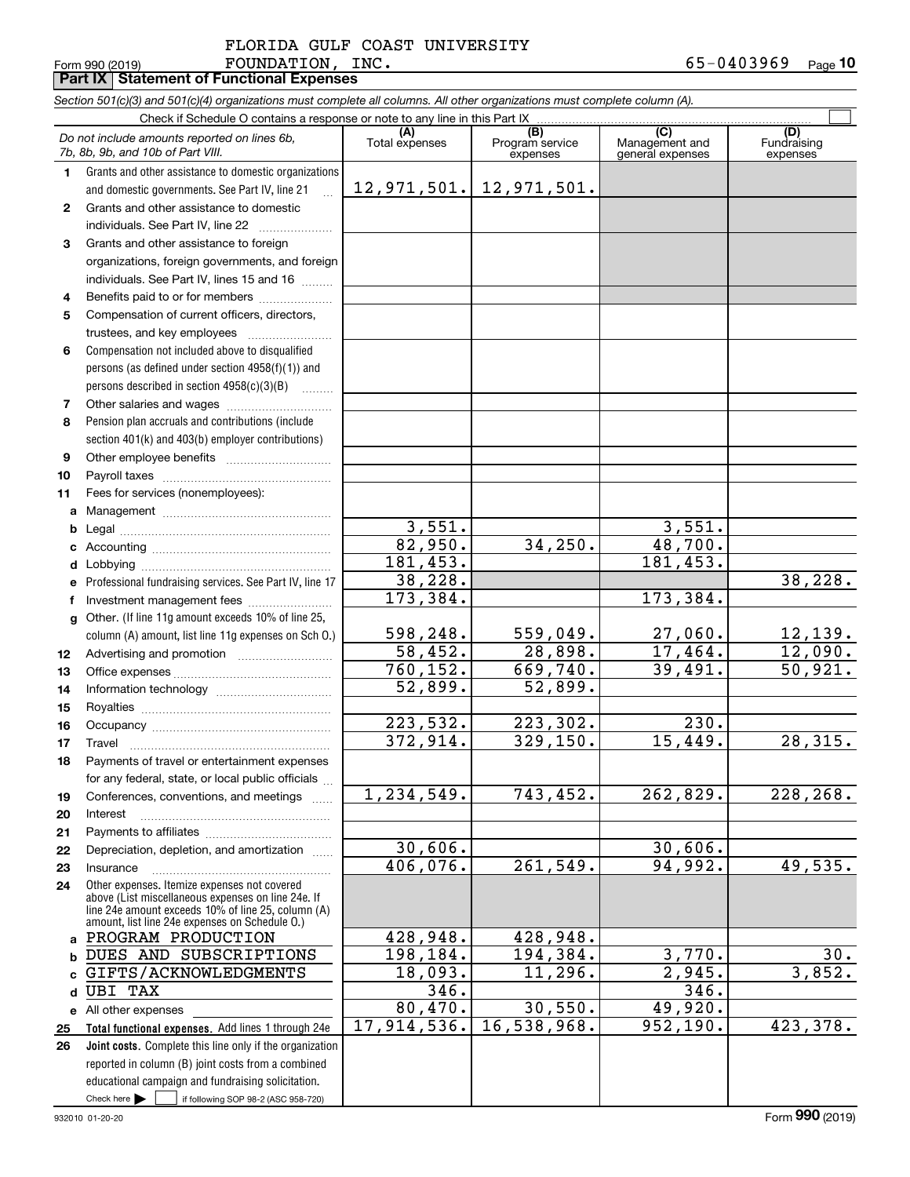#### Form 990 (2019) Page **Part IX Statement of Functional Expenses**  ${\tt FOUNDATION}$ ,  ${\tt INC.}$   ${\tt 65-0403969}$ FLORIDA GULF COAST UNIVERSITY

|              | Section 501(c)(3) and 501(c)(4) organizations must complete all columns. All other organizations must complete column (A).                                                                                 |                       |                                    |                                           |                                |  |  |  |  |  |  |
|--------------|------------------------------------------------------------------------------------------------------------------------------------------------------------------------------------------------------------|-----------------------|------------------------------------|-------------------------------------------|--------------------------------|--|--|--|--|--|--|
|              | Check if Schedule O contains a response or note to any line in this Part IX                                                                                                                                |                       |                                    |                                           |                                |  |  |  |  |  |  |
|              | Do not include amounts reported on lines 6b,<br>7b, 8b, 9b, and 10b of Part VIII.                                                                                                                          | (A)<br>Total expenses | (B)<br>Program service<br>expenses | (C)<br>Management and<br>general expenses | (D)<br>Fundraising<br>expenses |  |  |  |  |  |  |
| 1            | Grants and other assistance to domestic organizations                                                                                                                                                      |                       |                                    |                                           |                                |  |  |  |  |  |  |
|              | and domestic governments. See Part IV, line 21                                                                                                                                                             | 12,971,501.           | 12,971,501.                        |                                           |                                |  |  |  |  |  |  |
| $\mathbf{2}$ | Grants and other assistance to domestic                                                                                                                                                                    |                       |                                    |                                           |                                |  |  |  |  |  |  |
|              | individuals. See Part IV, line 22                                                                                                                                                                          |                       |                                    |                                           |                                |  |  |  |  |  |  |
| 3            | Grants and other assistance to foreign                                                                                                                                                                     |                       |                                    |                                           |                                |  |  |  |  |  |  |
|              | organizations, foreign governments, and foreign<br>individuals. See Part IV, lines 15 and 16                                                                                                               |                       |                                    |                                           |                                |  |  |  |  |  |  |
| 4            | Benefits paid to or for members                                                                                                                                                                            |                       |                                    |                                           |                                |  |  |  |  |  |  |
| 5            | Compensation of current officers, directors,                                                                                                                                                               |                       |                                    |                                           |                                |  |  |  |  |  |  |
|              | trustees, and key employees                                                                                                                                                                                |                       |                                    |                                           |                                |  |  |  |  |  |  |
| 6            | Compensation not included above to disqualified                                                                                                                                                            |                       |                                    |                                           |                                |  |  |  |  |  |  |
|              | persons (as defined under section 4958(f)(1)) and<br>persons described in section 4958(c)(3)(B)                                                                                                            |                       |                                    |                                           |                                |  |  |  |  |  |  |
| 7            |                                                                                                                                                                                                            |                       |                                    |                                           |                                |  |  |  |  |  |  |
| 8            | Pension plan accruals and contributions (include                                                                                                                                                           |                       |                                    |                                           |                                |  |  |  |  |  |  |
|              | section 401(k) and 403(b) employer contributions)                                                                                                                                                          |                       |                                    |                                           |                                |  |  |  |  |  |  |
| 9            |                                                                                                                                                                                                            |                       |                                    |                                           |                                |  |  |  |  |  |  |
| 10           |                                                                                                                                                                                                            |                       |                                    |                                           |                                |  |  |  |  |  |  |
| 11           | Fees for services (nonemployees):                                                                                                                                                                          |                       |                                    |                                           |                                |  |  |  |  |  |  |
| a            |                                                                                                                                                                                                            |                       |                                    |                                           |                                |  |  |  |  |  |  |
| b            |                                                                                                                                                                                                            | 3,551.                |                                    | 3,551.                                    |                                |  |  |  |  |  |  |
| с            |                                                                                                                                                                                                            | 82,950.               | 34,250.                            | 48,700.                                   |                                |  |  |  |  |  |  |
| d            |                                                                                                                                                                                                            | 181,453.              |                                    | 181,453.                                  |                                |  |  |  |  |  |  |
| е            | Professional fundraising services. See Part IV, line 17                                                                                                                                                    | 38,228.               |                                    |                                           | 38,228.                        |  |  |  |  |  |  |
| f            |                                                                                                                                                                                                            | 173,384.              |                                    | 173,384.                                  |                                |  |  |  |  |  |  |
| a            | Other. (If line 11g amount exceeds 10% of line 25,                                                                                                                                                         |                       |                                    |                                           |                                |  |  |  |  |  |  |
|              | column (A) amount, list line 11g expenses on Sch O.)                                                                                                                                                       | 598,248.<br>58,452.   | 559,049.<br>28,898.                | 27,060.<br>17,464.                        | 12, 139.<br>12,090.            |  |  |  |  |  |  |
| 12           |                                                                                                                                                                                                            | 760, 152.             | $\overline{669, 740}$ .            | 39,491.                                   | 50,921.                        |  |  |  |  |  |  |
| 13           |                                                                                                                                                                                                            | 52,899.               | 52,899.                            |                                           |                                |  |  |  |  |  |  |
| 14<br>15     |                                                                                                                                                                                                            |                       |                                    |                                           |                                |  |  |  |  |  |  |
| 16           |                                                                                                                                                                                                            | 223,532.              | 223,302.                           | 230.                                      |                                |  |  |  |  |  |  |
| 17           |                                                                                                                                                                                                            | 372,914.              | 329, 150.                          | 15,449.                                   | 28,315.                        |  |  |  |  |  |  |
| 18           | Payments of travel or entertainment expenses                                                                                                                                                               |                       |                                    |                                           |                                |  |  |  |  |  |  |
|              | for any federal, state, or local public officials                                                                                                                                                          |                       |                                    |                                           |                                |  |  |  |  |  |  |
| 19           | Conferences, conventions, and meetings                                                                                                                                                                     | 1,234,549.            | 743,452.                           | 262,829.                                  | $\overline{228}$ , 268.        |  |  |  |  |  |  |
| 20           | Interest                                                                                                                                                                                                   |                       |                                    |                                           |                                |  |  |  |  |  |  |
| 21           |                                                                                                                                                                                                            |                       |                                    |                                           |                                |  |  |  |  |  |  |
| 22           | Depreciation, depletion, and amortization                                                                                                                                                                  | 30,606.               |                                    | 30,606.                                   |                                |  |  |  |  |  |  |
| 23           | Insurance                                                                                                                                                                                                  | 406,076.              | 261,549.                           | 94,992.                                   | 49,535.                        |  |  |  |  |  |  |
| 24           | Other expenses. Itemize expenses not covered<br>above (List miscellaneous expenses on line 24e. If<br>line 24e amount exceeds 10% of line 25, column (A)<br>amount, list line 24e expenses on Schedule 0.) |                       |                                    |                                           |                                |  |  |  |  |  |  |
| a            | PROGRAM PRODUCTION                                                                                                                                                                                         | 428,948.              | 428,948.                           |                                           |                                |  |  |  |  |  |  |
| b            | DUES AND SUBSCRIPTIONS                                                                                                                                                                                     | 198,184.              | 194,384.                           | 3,770.                                    | 30.                            |  |  |  |  |  |  |
| c            | GIFTS/ACKNOWLEDGMENTS                                                                                                                                                                                      | 18,093.               | 11,296.                            | 2,945.                                    | 3,852.                         |  |  |  |  |  |  |
| d            | <b>UBI TAX</b>                                                                                                                                                                                             | 346.                  |                                    | 346.                                      |                                |  |  |  |  |  |  |
| е            | All other expenses                                                                                                                                                                                         | 80, 470.              | 30,550.                            | 49,920.                                   |                                |  |  |  |  |  |  |
| 25           | Total functional expenses. Add lines 1 through 24e                                                                                                                                                         | 17,914,536.           | 16,538,968.                        | 952, 190.                                 | 423,378.                       |  |  |  |  |  |  |
| 26           | Joint costs. Complete this line only if the organization                                                                                                                                                   |                       |                                    |                                           |                                |  |  |  |  |  |  |
|              | reported in column (B) joint costs from a combined                                                                                                                                                         |                       |                                    |                                           |                                |  |  |  |  |  |  |
|              | educational campaign and fundraising solicitation.                                                                                                                                                         |                       |                                    |                                           |                                |  |  |  |  |  |  |
|              | Check here<br>if following SOP 98-2 (ASC 958-720)                                                                                                                                                          |                       |                                    |                                           |                                |  |  |  |  |  |  |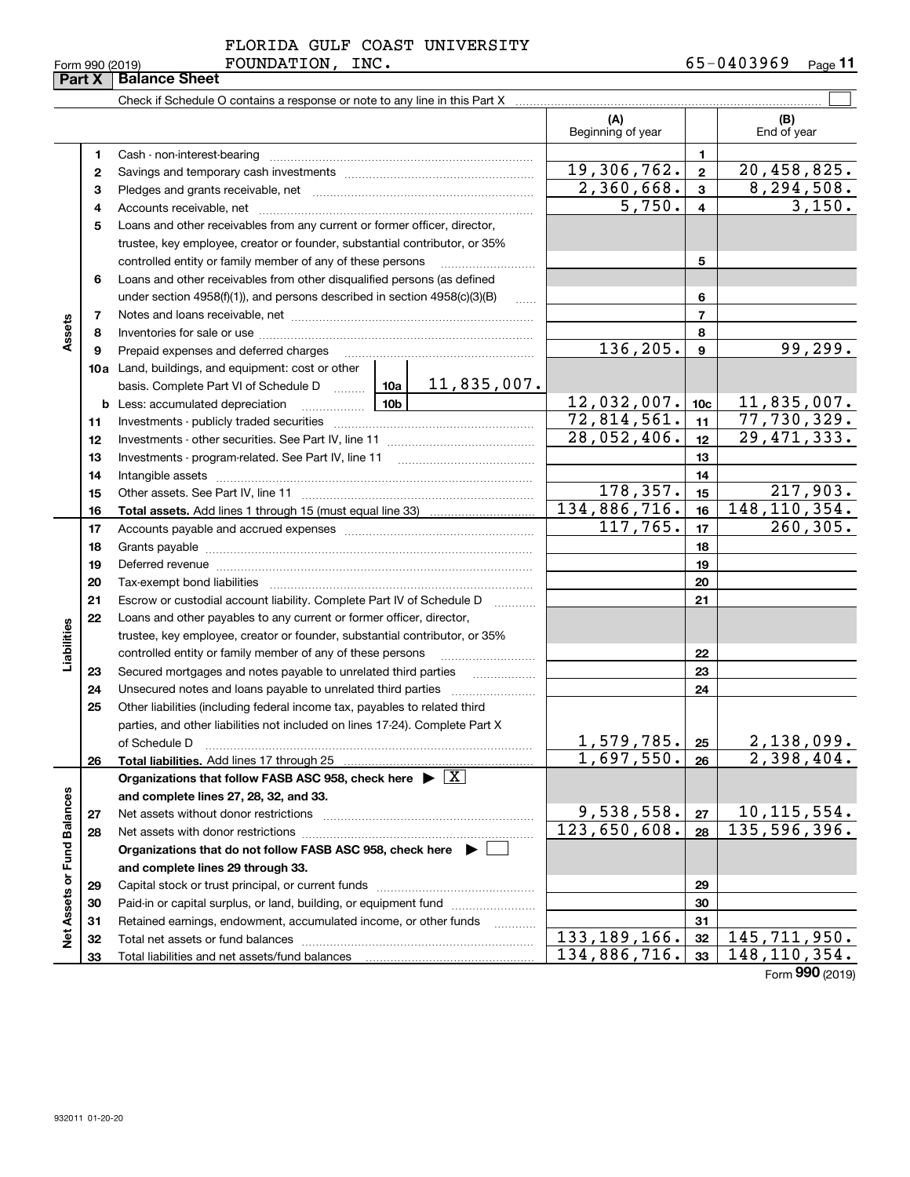|             |  | FLORIDA GULF COAST UNIVERSITY |
|-------------|--|-------------------------------|
| ___________ |  |                               |

Form 990 (2019) FOUNDA'I'LON, INC 。 b 5-U 4 U 3 Y 6 Y \_\_\_\_\_\_\_\_\_\_\_ **11**

|                             | Part X | <b>Balance Sheet</b>                                                                                                                                                                                                           |                          |                 |                            |
|-----------------------------|--------|--------------------------------------------------------------------------------------------------------------------------------------------------------------------------------------------------------------------------------|--------------------------|-----------------|----------------------------|
|                             |        | Check if Schedule O contains a response or note to any line in this Part X [11] Check if Schedule O contains a response or note to any line in this Part X                                                                     |                          |                 |                            |
|                             |        |                                                                                                                                                                                                                                | (A)<br>Beginning of year |                 | (B)<br>End of year         |
|                             | 1      |                                                                                                                                                                                                                                |                          | 1               |                            |
|                             | 2      |                                                                                                                                                                                                                                | 19,306,762.              | $\mathbf{2}$    | 20,458,825.                |
|                             | з      |                                                                                                                                                                                                                                | 2,360,668.               | 3               | 8, 294, 508.               |
|                             | 4      |                                                                                                                                                                                                                                | 5,750.                   | $\overline{4}$  | 3,150.                     |
|                             | 5      | Loans and other receivables from any current or former officer, director,                                                                                                                                                      |                          |                 |                            |
|                             |        | trustee, key employee, creator or founder, substantial contributor, or 35%                                                                                                                                                     |                          |                 |                            |
|                             |        | controlled entity or family member of any of these persons                                                                                                                                                                     |                          | 5               |                            |
|                             | 6      | Loans and other receivables from other disqualified persons (as defined                                                                                                                                                        |                          |                 |                            |
|                             |        | under section $4958(f)(1)$ , and persons described in section $4958(c)(3)(B)$<br>$\ldots$                                                                                                                                      |                          | 6               |                            |
|                             | 7      |                                                                                                                                                                                                                                |                          | $\overline{7}$  |                            |
| Assets                      | 8      |                                                                                                                                                                                                                                |                          | 8               |                            |
|                             | 9      | Prepaid expenses and deferred charges                                                                                                                                                                                          | 136,205.                 | 9               | 99, 299.                   |
|                             |        | <b>10a</b> Land, buildings, and equipment: cost or other                                                                                                                                                                       |                          |                 |                            |
|                             |        | 11,835,007.<br>basis. Complete Part VI of Schedule D  10a                                                                                                                                                                      |                          |                 |                            |
|                             |        | <u>10b</u><br><b>b</b> Less: accumulated depreciation                                                                                                                                                                          | 12,032,007.              | 10 <sub>c</sub> | 11,835,007.                |
|                             | 11     |                                                                                                                                                                                                                                | 72,814,561.              | 11              | 77,730,329.                |
|                             | 12     |                                                                                                                                                                                                                                | 28,052,406.              | 12              | 29, 471, 333.              |
|                             | 13     |                                                                                                                                                                                                                                |                          | 13              |                            |
|                             | 14     |                                                                                                                                                                                                                                |                          | 14              |                            |
|                             | 15     |                                                                                                                                                                                                                                | 178,357.                 | 15              | 217,903.                   |
|                             | 16     |                                                                                                                                                                                                                                | 134,886,716.             | 16              | 148, 110, 354.             |
|                             | 17     |                                                                                                                                                                                                                                | 117,765.                 | 17              | 260, 305.                  |
|                             | 18     |                                                                                                                                                                                                                                |                          | 18              |                            |
|                             | 19     | Deferred revenue manual contracts and contracts are all the contracts and contracts are contracted and contracts are contracted and contract are contracted and contract are contracted and contract are contracted and contra |                          | 19              |                            |
|                             | 20     |                                                                                                                                                                                                                                |                          | 20              |                            |
|                             | 21     | Escrow or custodial account liability. Complete Part IV of Schedule D<br>.                                                                                                                                                     |                          | 21              |                            |
|                             | 22     | Loans and other payables to any current or former officer, director,                                                                                                                                                           |                          |                 |                            |
|                             |        | trustee, key employee, creator or founder, substantial contributor, or 35%                                                                                                                                                     |                          |                 |                            |
| Liabilities                 |        | controlled entity or family member of any of these persons                                                                                                                                                                     |                          | 22              |                            |
|                             | 23     | Secured mortgages and notes payable to unrelated third parties                                                                                                                                                                 |                          | 23              |                            |
|                             | 24     | Unsecured notes and loans payable to unrelated third parties                                                                                                                                                                   |                          | 24              |                            |
|                             | 25     | Other liabilities (including federal income tax, payables to related third                                                                                                                                                     |                          |                 |                            |
|                             |        | parties, and other liabilities not included on lines 17-24). Complete Part X                                                                                                                                                   |                          |                 |                            |
|                             |        | of Schedule D                                                                                                                                                                                                                  | <u>1,579,785. </u>       | 25              | 2,138,099.                 |
|                             | 26     | Total liabilities. Add lines 17 through 25                                                                                                                                                                                     | 1,697,550.               | 26              | $\overline{2}$ , 398, 404. |
|                             |        | Organizations that follow FASB ASC 958, check here $\blacktriangleright \boxed{X}$                                                                                                                                             |                          |                 |                            |
|                             |        | and complete lines 27, 28, 32, and 33.                                                                                                                                                                                         |                          |                 |                            |
|                             | 27     | Net assets without donor restrictions                                                                                                                                                                                          | 9,538,558.               | 27              | 10, 115, 554.              |
|                             | 28     |                                                                                                                                                                                                                                | 123,650,608.             | 28              | 135,596,396.               |
|                             |        | Organizations that do not follow FASB ASC 958, check here $\blacktriangleright$                                                                                                                                                |                          |                 |                            |
|                             |        | and complete lines 29 through 33.                                                                                                                                                                                              |                          |                 |                            |
|                             | 29     |                                                                                                                                                                                                                                |                          | 29              |                            |
| Net Assets or Fund Balances | 30     | Paid-in or capital surplus, or land, building, or equipment fund                                                                                                                                                               |                          | 30              |                            |
|                             | 31     | Retained earnings, endowment, accumulated income, or other funds<br>.                                                                                                                                                          |                          | 31              |                            |
|                             | 32     |                                                                                                                                                                                                                                | 133, 189, 166.           | 32              | 145,711,950.               |
|                             | 33     |                                                                                                                                                                                                                                | 134,886,716.             | 33              | 148, 110, 354.             |

Form (2019) **990**

# FOUNDATION, INC.